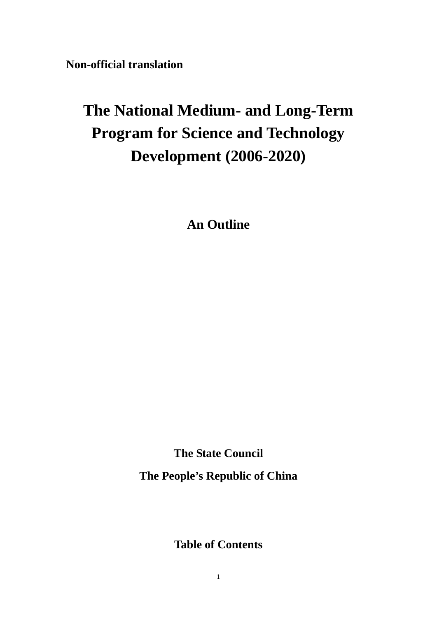**Non-official translation** 

# **The National Medium- and Long-Term Program for Science and Technology Development (2006-2020)**

**An Outline** 

**The State Council The People's Republic of China** 

**Table of Contents**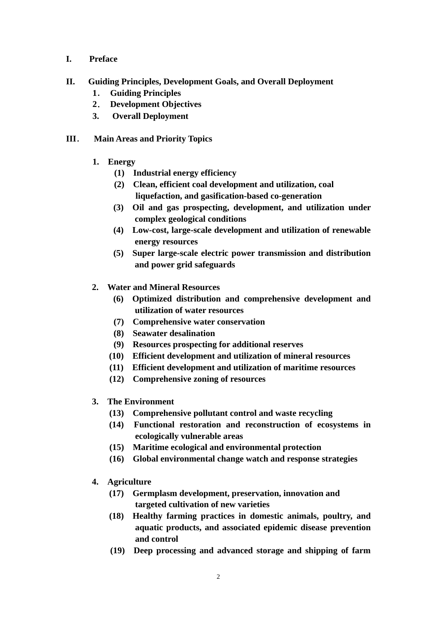- **I. Preface**
- **II. Guiding Principles, Development Goals, and Overall Deployment** 
	- **1**. **Guiding Principles**
	- **2**. **Development Objectives**
	- **3. Overall Deployment**

# **III**. **Main Areas and Priority Topics**

- **1. Energy** 
	- **(1) Industrial energy efficiency**
	- **(2) Clean, efficient coal development and utilization, coal liquefaction, and gasification-based co-generation**
	- **(3) Oil and gas prospecting, development, and utilization under complex geological conditions**
	- **(4) Low-cost, large-scale development and utilization of renewable energy resources**
	- **(5) Super large-scale electric power transmission and distribution and power grid safeguards**
- **2. Water and Mineral Resources** 
	- **(6) Optimized distribution and comprehensive development and utilization of water resources**
	- **(7) Comprehensive water conservation**
	- **(8) Seawater desalination**
	- **(9) Resources prospecting for additional reserves**
	- **(10) Efficient development and utilization of mineral resources**
	- **(11) Efficient development and utilization of maritime resources**
	- **(12) Comprehensive zoning of resources**
- **3. The Environment** 
	- **(13) Comprehensive pollutant control and waste recycling**
	- **(14) Functional restoration and reconstruction of ecosystems in ecologically vulnerable areas**
	- **(15) Maritime ecological and environmental protection**
	- **(16) Global environmental change watch and response strategies**
- **4. Agriculture** 
	- **(17) Germplasm development, preservation, innovation and targeted cultivation of new varieties**
	- **(18) Healthy farming practices in domestic animals, poultry, and aquatic products, and associated epidemic disease prevention and control**
	- **(19) Deep processing and advanced storage and shipping of farm**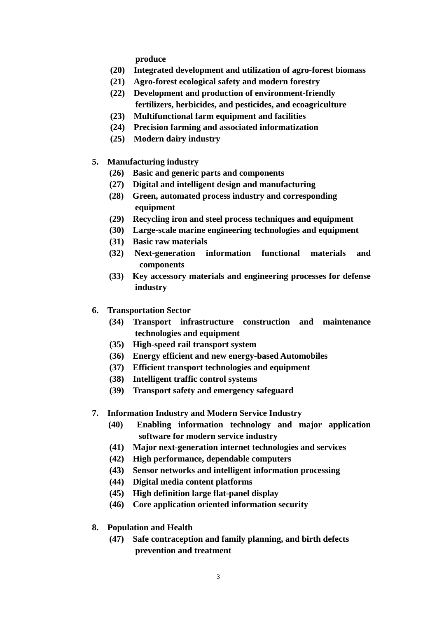**produce** 

- **(20) Integrated development and utilization of agro-forest biomass**
- **(21) Agro-forest ecological safety and modern forestry**
- **(22) Development and production of environment-friendly fertilizers, herbicides, and pesticides, and ecoagriculture**
- **(23) Multifunctional farm equipment and facilities**
- **(24) Precision farming and associated informatization**
- **(25) Modern dairy industry**
- **5. Manufacturing industry** 
	- **(26) Basic and generic parts and components**
	- **(27) Digital and intelligent design and manufacturing**
	- **(28) Green, automated process industry and corresponding equipment**
	- **(29) Recycling iron and steel process techniques and equipment**
	- **(30) Large-scale marine engineering technologies and equipment**
	- **(31) Basic raw materials**
	- **(32) Next-generation information functional materials and components**
	- **(33) Key accessory materials and engineering processes for defense industry**
- **6. Transportation Sector** 
	- **(34) Transport infrastructure construction and maintenance technologies and equipment**
	- **(35) High-speed rail transport system**
	- **(36) Energy efficient and new energy-based Automobiles**
	- **(37) Efficient transport technologies and equipment**
	- **(38) Intelligent traffic control systems**
	- **(39) Transport safety and emergency safeguard**
- **7. Information Industry and Modern Service Industry** 
	- **(40) Enabling information technology and major application software for modern service industry**
	- **(41) Major next-generation internet technologies and services**
	- **(42) High performance, dependable computers**
	- **(43) Sensor networks and intelligent information processing**
	- **(44) Digital media content platforms**
	- **(45) High definition large flat-panel display**
	- **(46) Core application oriented information security**
- **8. Population and Health** 
	- **(47) Safe contraception and family planning, and birth defects prevention and treatment**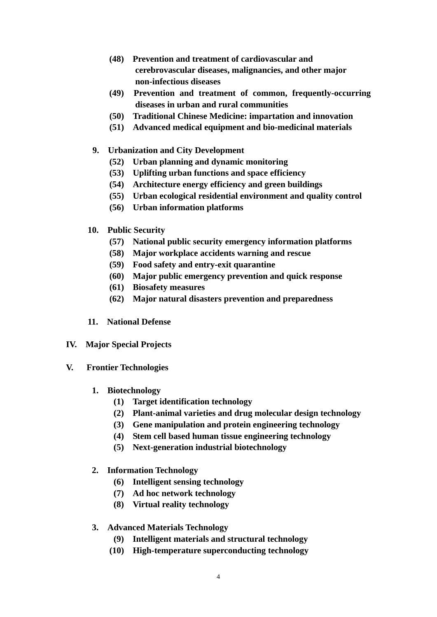- **(48) Prevention and treatment of cardiovascular and cerebrovascular diseases, malignancies, and other major non-infectious diseases**
- **(49) Prevention and treatment of common, frequently-occurring diseases in urban and rural communities**
- **(50) Traditional Chinese Medicine: impartation and innovation**
- **(51) Advanced medical equipment and bio-medicinal materials**
- **9. Urbanization and City Development** 
	- **(52) Urban planning and dynamic monitoring**
	- **(53) Uplifting urban functions and space efficiency**
	- **(54) Architecture energy efficiency and green buildings**
	- **(55) Urban ecological residential environment and quality control**
	- **(56) Urban information platforms**
- **10. Public Security** 
	- **(57) National public security emergency information platforms**
	- **(58) Major workplace accidents warning and rescue**
	- **(59) Food safety and entry-exit quarantine**
	- **(60) Major public emergency prevention and quick response**
	- **(61) Biosafety measures**
	- **(62) Major natural disasters prevention and preparedness**
- **11. National Defense**
- **IV. Major Special Projects**
- **V. Frontier Technologies** 
	- **1. Biotechnology** 
		- **(1) Target identification technology**
		- **(2) Plant-animal varieties and drug molecular design technology**
		- **(3) Gene manipulation and protein engineering technology**
		- **(4) Stem cell based human tissue engineering technology**
		- **(5) Next-generation industrial biotechnology**
	- **2. Information Technology** 
		- **(6) Intelligent sensing technology**
		- **(7) Ad hoc network technology**
		- **(8) Virtual reality technology**
	- **3. Advanced Materials Technology** 
		- **(9) Intelligent materials and structural technology**
		- **(10) High-temperature superconducting technology**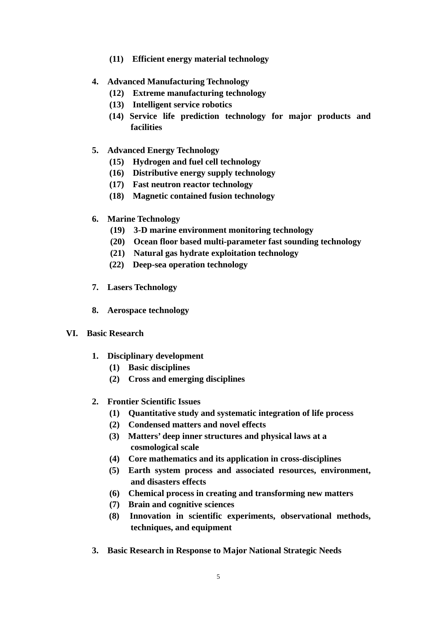**(11) Efficient energy material technology** 

## **4. Advanced Manufacturing Technology**

- **(12) Extreme manufacturing technology**
- **(13) Intelligent service robotics**
- **(14) Service life prediction technology for major products and facilities**
- **5. Advanced Energy Technology** 
	- **(15) Hydrogen and fuel cell technology**
	- **(16) Distributive energy supply technology**
	- **(17) Fast neutron reactor technology**
	- **(18) Magnetic contained fusion technology**
- **6. Marine Technology** 
	- **(19) 3-D marine environment monitoring technology**
	- **(20) Ocean floor based multi-parameter fast sounding technology**
	- **(21) Natural gas hydrate exploitation technology**
	- **(22) Deep-sea operation technology**
- **7. Lasers Technology**
- **8. Aerospace technology**

## **VI. Basic Research**

- **1. Disciplinary development** 
	- **(1) Basic disciplines**
	- **(2) Cross and emerging disciplines**
- **2. Frontier Scientific Issues** 
	- **(1) Quantitative study and systematic integration of life process**
	- **(2) Condensed matters and novel effects**
	- **(3) Matters' deep inner structures and physical laws at a cosmological scale**
	- **(4) Core mathematics and its application in cross-disciplines**
	- **(5) Earth system process and associated resources, environment, and disasters effects**
	- **(6) Chemical process in creating and transforming new matters**
	- **(7) Brain and cognitive sciences**
	- **(8) Innovation in scientific experiments, observational methods, techniques, and equipment**
- **3. Basic Research in Response to Major National Strategic Needs**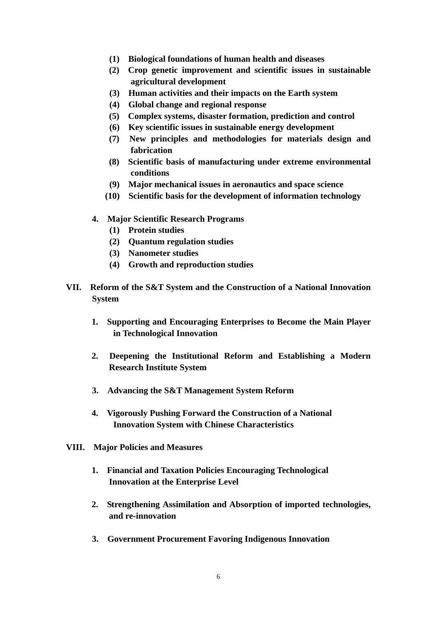- **(1) Biological foundations of human health and diseases**
- **(2) Crop genetic improvement and scientific issues in sustainable agricultural development**
- **(3) Human activities and their impacts on the Earth system**
- **(4) Global change and regional response**
- **(5) Complex systems, disaster formation, prediction and control**
- **(6) Key scientific issues in sustainable energy development**
- **(7) New principles and methodologies for materials design and fabrication**
- **(8) Scientific basis of manufacturing under extreme environmental conditions**
- **(9) Major mechanical issues in aeronautics and space science**
- **(10) Scientific basis for the development of information technology**
- **4. Major Scientific Research Programs** 
	- **(1) Protein studies**
	- **(2) Quantum regulation studies**
	- **(3) Nanometer studies**
	- **(4) Growth and reproduction studies**
- **VII. Reform of the S&T System and the Construction of a National Innovation System** 
	- **1. Supporting and Encouraging Enterprises to Become the Main Player in Technological Innovation**
	- **2. Deepening the Institutional Reform and Establishing a Modern Research Institute System**
	- **3. Advancing the S&T Management System Reform**
	- **4. Vigorously Pushing Forward the Construction of a National Innovation System with Chinese Characteristics**
- **VIII. Major Policies and Measures** 
	- **1. Financial and Taxation Policies Encouraging Technological Innovation at the Enterprise Level**
	- **2. Strengthening Assimilation and Absorption of imported technologies, and re-innovation**
	- **3. Government Procurement Favoring Indigenous Innovation**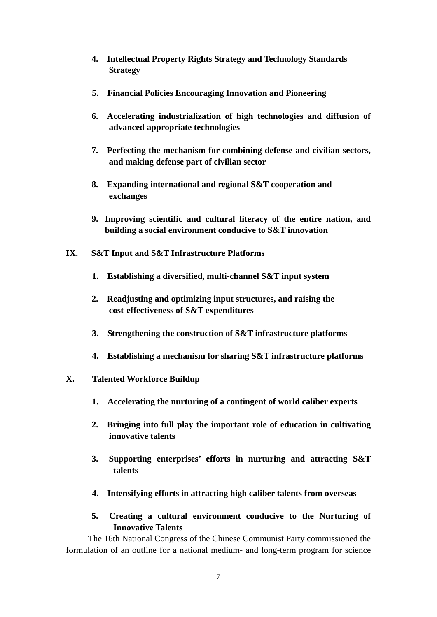- **4. Intellectual Property Rights Strategy and Technology Standards Strategy**
- **5. Financial Policies Encouraging Innovation and Pioneering**
- **6. Accelerating industrialization of high technologies and diffusion of advanced appropriate technologies**
- **7. Perfecting the mechanism for combining defense and civilian sectors, and making defense part of civilian sector**
- **8. Expanding international and regional S&T cooperation and exchanges**
- **9. Improving scientific and cultural literacy of the entire nation, and building a social environment conducive to S&T innovation**
- **IX. S&T Input and S&T Infrastructure Platforms** 
	- **1. Establishing a diversified, multi-channel S&T input system**
	- **2. Readjusting and optimizing input structures, and raising the cost-effectiveness of S&T expenditures**
	- **3. Strengthening the construction of S&T infrastructure platforms**
	- **4. Establishing a mechanism for sharing S&T infrastructure platforms**

## **X. Talented Workforce Buildup**

- **1. Accelerating the nurturing of a contingent of world caliber experts**
- **2. Bringing into full play the important role of education in cultivating innovative talents**
- **3. Supporting enterprises' efforts in nurturing and attracting S&T talents**
- **4. Intensifying efforts in attracting high caliber talents from overseas**
- **5. Creating a cultural environment conducive to the Nurturing of Innovative Talents**

The 16th National Congress of the Chinese Communist Party commissioned the formulation of an outline for a national medium- and long-term program for science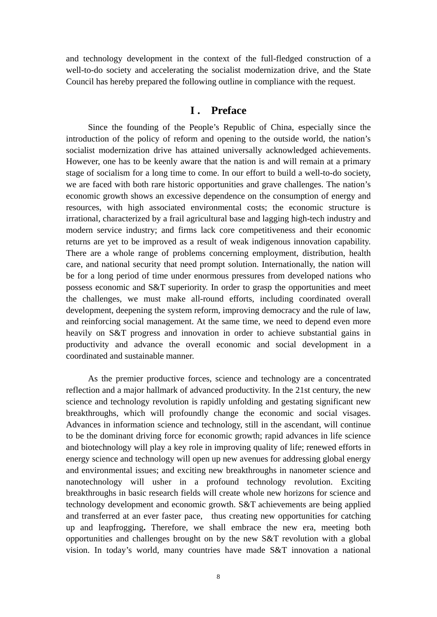and technology development in the context of the full-fledged construction of a well-to-do society and accelerating the socialist modernization drive, and the State Council has hereby prepared the following outline in compliance with the request.

# **I . Preface**

Since the founding of the People's Republic of China, especially since the introduction of the policy of reform and opening to the outside world, the nation's socialist modernization drive has attained universally acknowledged achievements. However, one has to be keenly aware that the nation is and will remain at a primary stage of socialism for a long time to come. In our effort to build a well-to-do society, we are faced with both rare historic opportunities and grave challenges. The nation's economic growth shows an excessive dependence on the consumption of energy and resources, with high associated environmental costs; the economic structure is irrational, characterized by a frail agricultural base and lagging high-tech industry and modern service industry; and firms lack core competitiveness and their economic returns are yet to be improved as a result of weak indigenous innovation capability. There are a whole range of problems concerning employment, distribution, health care, and national security that need prompt solution. Internationally, the nation will be for a long period of time under enormous pressures from developed nations who possess economic and S&T superiority. In order to grasp the opportunities and meet the challenges, we must make all-round efforts, including coordinated overall development, deepening the system reform, improving democracy and the rule of law, and reinforcing social management. At the same time, we need to depend even more heavily on S&T progress and innovation in order to achieve substantial gains in productivity and advance the overall economic and social development in a coordinated and sustainable manner.

As the premier productive forces, science and technology are a concentrated reflection and a major hallmark of advanced productivity. In the 21st century, the new science and technology revolution is rapidly unfolding and gestating significant new breakthroughs, which will profoundly change the economic and social visages. Advances in information science and technology, still in the ascendant, will continue to be the dominant driving force for economic growth; rapid advances in life science and biotechnology will play a key role in improving quality of life; renewed efforts in energy science and technology will open up new avenues for addressing global energy and environmental issues; and exciting new breakthroughs in nanometer science and nanotechnology will usher in a profound technology revolution. Exciting breakthroughs in basic research fields will create whole new horizons for science and technology development and economic growth. S&T achievements are being applied and transferred at an ever faster pace, thus creating new opportunities for catching up and leapfrogging**.** Therefore, we shall embrace the new era, meeting both opportunities and challenges brought on by the new S&T revolution with a global vision. In today's world, many countries have made S&T innovation a national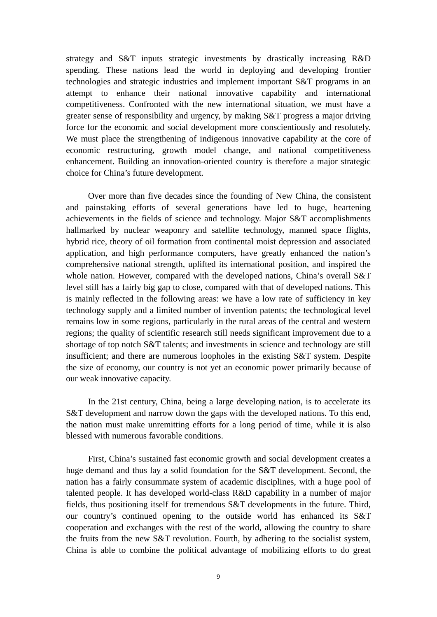strategy and S&T inputs strategic investments by drastically increasing R&D spending. These nations lead the world in deploying and developing frontier technologies and strategic industries and implement important S&T programs in an attempt to enhance their national innovative capability and international competitiveness. Confronted with the new international situation, we must have a greater sense of responsibility and urgency, by making S&T progress a major driving force for the economic and social development more conscientiously and resolutely. We must place the strengthening of indigenous innovative capability at the core of economic restructuring, growth model change, and national competitiveness enhancement. Building an innovation-oriented country is therefore a major strategic choice for China's future development.

Over more than five decades since the founding of New China, the consistent and painstaking efforts of several generations have led to huge, heartening achievements in the fields of science and technology. Major S&T accomplishments hallmarked by nuclear weaponry and satellite technology, manned space flights, hybrid rice, theory of oil formation from continental moist depression and associated application, and high performance computers, have greatly enhanced the nation's comprehensive national strength, uplifted its international position, and inspired the whole nation. However, compared with the developed nations, China's overall S&T level still has a fairly big gap to close, compared with that of developed nations. This is mainly reflected in the following areas: we have a low rate of sufficiency in key technology supply and a limited number of invention patents; the technological level remains low in some regions, particularly in the rural areas of the central and western regions; the quality of scientific research still needs significant improvement due to a shortage of top notch S&T talents; and investments in science and technology are still insufficient; and there are numerous loopholes in the existing S&T system. Despite the size of economy, our country is not yet an economic power primarily because of our weak innovative capacity.

In the 21st century, China, being a large developing nation, is to accelerate its S&T development and narrow down the gaps with the developed nations. To this end, the nation must make unremitting efforts for a long period of time, while it is also blessed with numerous favorable conditions.

First, China's sustained fast economic growth and social development creates a huge demand and thus lay a solid foundation for the S&T development. Second, the nation has a fairly consummate system of academic disciplines, with a huge pool of talented people. It has developed world-class R&D capability in a number of major fields, thus positioning itself for tremendous S&T developments in the future. Third, our country's continued opening to the outside world has enhanced its S&T cooperation and exchanges with the rest of the world, allowing the country to share the fruits from the new S&T revolution. Fourth, by adhering to the socialist system, China is able to combine the political advantage of mobilizing efforts to do great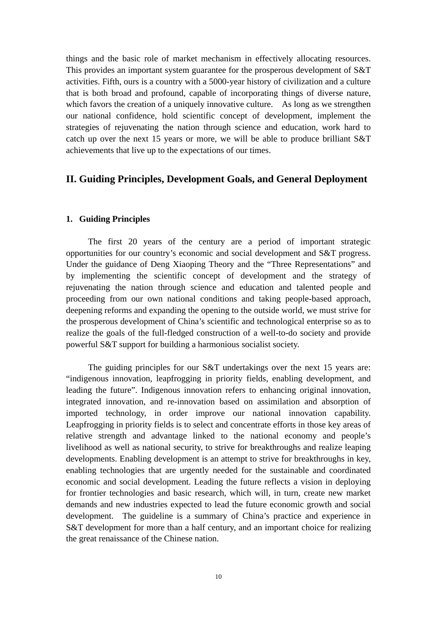things and the basic role of market mechanism in effectively allocating resources. This provides an important system guarantee for the prosperous development of S&T activities. Fifth, ours is a country with a 5000-year history of civilization and a culture that is both broad and profound, capable of incorporating things of diverse nature, which favors the creation of a uniquely innovative culture. As long as we strengthen our national confidence, hold scientific concept of development, implement the strategies of rejuvenating the nation through science and education, work hard to catch up over the next 15 years or more, we will be able to produce brilliant S&T achievements that live up to the expectations of our times.

# **II. Guiding Principles, Development Goals, and General Deployment**

## **1. Guiding Principles**

The first 20 years of the century are a period of important strategic opportunities for our country's economic and social development and S&T progress. Under the guidance of Deng Xiaoping Theory and the "Three Representations" and by implementing the scientific concept of development and the strategy of rejuvenating the nation through science and education and talented people and proceeding from our own national conditions and taking people-based approach, deepening reforms and expanding the opening to the outside world, we must strive for the prosperous development of China's scientific and technological enterprise so as to realize the goals of the full-fledged construction of a well-to-do society and provide powerful S&T support for building a harmonious socialist society.

The guiding principles for our S&T undertakings over the next 15 years are: "indigenous innovation, leapfrogging in priority fields, enabling development, and leading the future". Indigenous innovation refers to enhancing original innovation, integrated innovation, and re-innovation based on assimilation and absorption of imported technology, in order improve our national innovation capability. Leapfrogging in priority fields is to select and concentrate efforts in those key areas of relative strength and advantage linked to the national economy and people's livelihood as well as national security, to strive for breakthroughs and realize leaping developments. Enabling development is an attempt to strive for breakthroughs in key, enabling technologies that are urgently needed for the sustainable and coordinated economic and social development. Leading the future reflects a vision in deploying for frontier technologies and basic research, which will, in turn, create new market demands and new industries expected to lead the future economic growth and social development. The guideline is a summary of China's practice and experience in S&T development for more than a half century, and an important choice for realizing the great renaissance of the Chinese nation.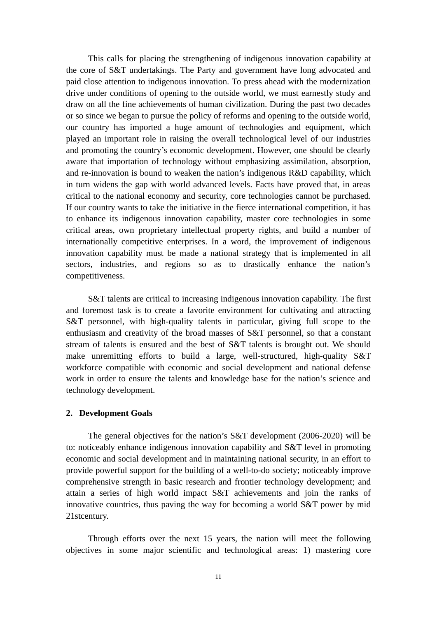This calls for placing the strengthening of indigenous innovation capability at the core of S&T undertakings. The Party and government have long advocated and paid close attention to indigenous innovation. To press ahead with the modernization drive under conditions of opening to the outside world, we must earnestly study and draw on all the fine achievements of human civilization. During the past two decades or so since we began to pursue the policy of reforms and opening to the outside world, our country has imported a huge amount of technologies and equipment, which played an important role in raising the overall technological level of our industries and promoting the country's economic development. However, one should be clearly aware that importation of technology without emphasizing assimilation, absorption, and re-innovation is bound to weaken the nation's indigenous R&D capability, which in turn widens the gap with world advanced levels. Facts have proved that, in areas critical to the national economy and security, core technologies cannot be purchased. If our country wants to take the initiative in the fierce international competition, it has to enhance its indigenous innovation capability, master core technologies in some critical areas, own proprietary intellectual property rights, and build a number of internationally competitive enterprises. In a word, the improvement of indigenous innovation capability must be made a national strategy that is implemented in all sectors, industries, and regions so as to drastically enhance the nation's competitiveness.

S&T talents are critical to increasing indigenous innovation capability. The first and foremost task is to create a favorite environment for cultivating and attracting S&T personnel, with high-quality talents in particular, giving full scope to the enthusiasm and creativity of the broad masses of S&T personnel, so that a constant stream of talents is ensured and the best of S&T talents is brought out. We should make unremitting efforts to build a large, well-structured, high-quality S&T workforce compatible with economic and social development and national defense work in order to ensure the talents and knowledge base for the nation's science and technology development.

## **2. Development Goals**

The general objectives for the nation's S&T development (2006-2020) will be to: noticeably enhance indigenous innovation capability and S&T level in promoting economic and social development and in maintaining national security, in an effort to provide powerful support for the building of a well-to-do society; noticeably improve comprehensive strength in basic research and frontier technology development; and attain a series of high world impact S&T achievements and join the ranks of innovative countries, thus paving the way for becoming a world S&T power by mid 21stcentury.

Through efforts over the next 15 years, the nation will meet the following objectives in some major scientific and technological areas: 1) mastering core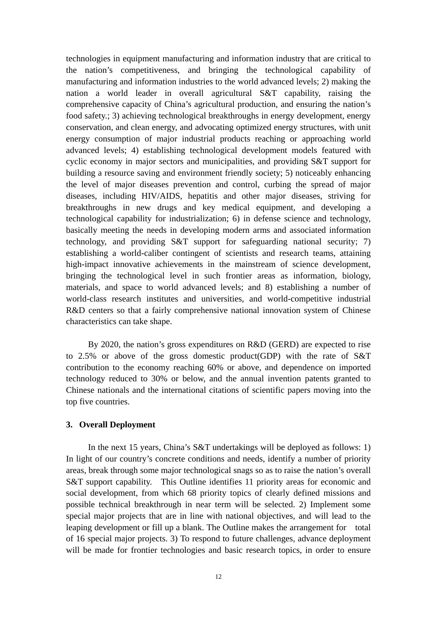technologies in equipment manufacturing and information industry that are critical to the nation's competitiveness, and bringing the technological capability of manufacturing and information industries to the world advanced levels; 2) making the nation a world leader in overall agricultural S&T capability, raising the comprehensive capacity of China's agricultural production, and ensuring the nation's food safety.; 3) achieving technological breakthroughs in energy development, energy conservation, and clean energy, and advocating optimized energy structures, with unit energy consumption of major industrial products reaching or approaching world advanced levels; 4) establishing technological development models featured with cyclic economy in major sectors and municipalities, and providing S&T support for building a resource saving and environment friendly society; 5) noticeably enhancing the level of major diseases prevention and control, curbing the spread of major diseases, including HIV/AIDS, hepatitis and other major diseases, striving for breakthroughs in new drugs and key medical equipment, and developing a technological capability for industrialization; 6) in defense science and technology, basically meeting the needs in developing modern arms and associated information technology, and providing S&T support for safeguarding national security; 7) establishing a world-caliber contingent of scientists and research teams, attaining high-impact innovative achievements in the mainstream of science development, bringing the technological level in such frontier areas as information, biology, materials, and space to world advanced levels; and 8) establishing a number of world-class research institutes and universities, and world-competitive industrial R&D centers so that a fairly comprehensive national innovation system of Chinese characteristics can take shape.

By 2020, the nation's gross expenditures on R&D (GERD) are expected to rise to 2.5% or above of the gross domestic product(GDP) with the rate of S&T contribution to the economy reaching 60% or above, and dependence on imported technology reduced to 30% or below, and the annual invention patents granted to Chinese nationals and the international citations of scientific papers moving into the top five countries.

## **3. Overall Deployment**

In the next 15 years, China's S&T undertakings will be deployed as follows: 1) In light of our country's concrete conditions and needs, identify a number of priority areas, break through some major technological snags so as to raise the nation's overall S&T support capability. This Outline identifies 11 priority areas for economic and social development, from which 68 priority topics of clearly defined missions and possible technical breakthrough in near term will be selected. 2) Implement some special major projects that are in line with national objectives, and will lead to the leaping development or fill up a blank. The Outline makes the arrangement for total of 16 special major projects. 3) To respond to future challenges, advance deployment will be made for frontier technologies and basic research topics, in order to ensure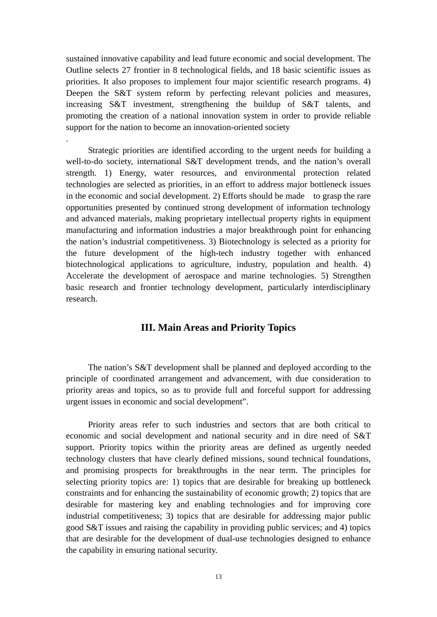sustained innovative capability and lead future economic and social development. The Outline selects 27 frontier in 8 technological fields, and 18 basic scientific issues as priorities. It also proposes to implement four major scientific research programs. 4) Deepen the S&T system reform by perfecting relevant policies and measures, increasing S&T investment, strengthening the buildup of S&T talents, and promoting the creation of a national innovation system in order to provide reliable support for the nation to become an innovation-oriented society

.

Strategic priorities are identified according to the urgent needs for building a well-to-do society, international S&T development trends, and the nation's overall strength. 1) Energy, water resources, and environmental protection related technologies are selected as priorities, in an effort to address major bottleneck issues in the economic and social development. 2) Efforts should be made to grasp the rare opportunities presented by continued strong development of information technology and advanced materials, making proprietary intellectual property rights in equipment manufacturing and information industries a major breakthrough point for enhancing the nation's industrial competitiveness. 3) Biotechnology is selected as a priority for the future development of the high-tech industry together with enhanced biotechnological applications to agriculture, industry, population and health. 4) Accelerate the development of aerospace and marine technologies. 5) Strengthen basic research and frontier technology development, particularly interdisciplinary research.

## **III. Main Areas and Priority Topics**

The nation's S&T development shall be planned and deployed according to the principle of coordinated arrangement and advancement, with due consideration to priority areas and topics, so as to provide full and forceful support for addressing urgent issues in economic and social development".

Priority areas refer to such industries and sectors that are both critical to economic and social development and national security and in dire need of S&T support. Priority topics within the priority areas are defined as urgently needed technology clusters that have clearly defined missions, sound technical foundations, and promising prospects for breakthroughs in the near term. The principles for selecting priority topics are: 1) topics that are desirable for breaking up bottleneck constraints and for enhancing the sustainability of economic growth; 2) topics that are desirable for mastering key and enabling technologies and for improving core industrial competitiveness; 3) topics that are desirable for addressing major public good S&T issues and raising the capability in providing public services; and 4) topics that are desirable for the development of dual-use technologies designed to enhance the capability in ensuring national security.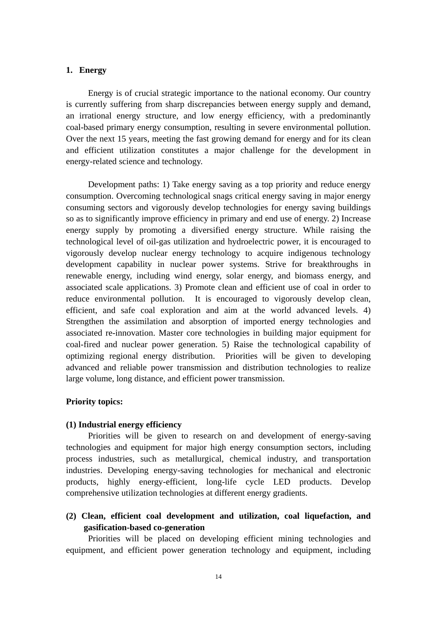## **1. Energy**

Energy is of crucial strategic importance to the national economy. Our country is currently suffering from sharp discrepancies between energy supply and demand, an irrational energy structure, and low energy efficiency, with a predominantly coal-based primary energy consumption, resulting in severe environmental pollution. Over the next 15 years, meeting the fast growing demand for energy and for its clean and efficient utilization constitutes a major challenge for the development in energy-related science and technology.

Development paths: 1) Take energy saving as a top priority and reduce energy consumption. Overcoming technological snags critical energy saving in major energy consuming sectors and vigorously develop technologies for energy saving buildings so as to significantly improve efficiency in primary and end use of energy. 2) Increase energy supply by promoting a diversified energy structure. While raising the technological level of oil-gas utilization and hydroelectric power, it is encouraged to vigorously develop nuclear energy technology to acquire indigenous technology development capability in nuclear power systems. Strive for breakthroughs in renewable energy, including wind energy, solar energy, and biomass energy, and associated scale applications. 3) Promote clean and efficient use of coal in order to reduce environmental pollution. It is encouraged to vigorously develop clean, efficient, and safe coal exploration and aim at the world advanced levels. 4) Strengthen the assimilation and absorption of imported energy technologies and associated re-innovation. Master core technologies in building major equipment for coal-fired and nuclear power generation. 5) Raise the technological capability of optimizing regional energy distribution. Priorities will be given to developing advanced and reliable power transmission and distribution technologies to realize large volume, long distance, and efficient power transmission.

## **Priority topics:**

## **(1) Industrial energy efficiency**

Priorities will be given to research on and development of energy-saving technologies and equipment for major high energy consumption sectors, including process industries, such as metallurgical, chemical industry, and transportation industries. Developing energy-saving technologies for mechanical and electronic products, highly energy-efficient, long-life cycle LED products. Develop comprehensive utilization technologies at different energy gradients.

# **(2) Clean, efficient coal development and utilization, coal liquefaction, and gasification-based co-generation**

Priorities will be placed on developing efficient mining technologies and equipment, and efficient power generation technology and equipment, including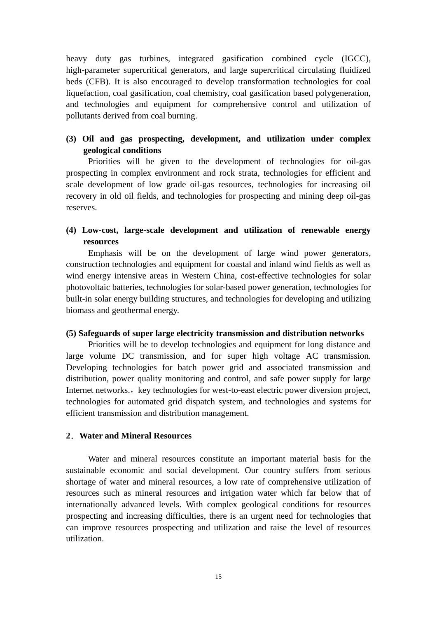heavy duty gas turbines, integrated gasification combined cycle (IGCC), high-parameter supercritical generators, and large supercritical circulating fluidized beds (CFB). It is also encouraged to develop transformation technologies for coal liquefaction, coal gasification, coal chemistry, coal gasification based polygeneration, and technologies and equipment for comprehensive control and utilization of pollutants derived from coal burning.

# **(3) Oil and gas prospecting, development, and utilization under complex geological conditions**

Priorities will be given to the development of technologies for oil-gas prospecting in complex environment and rock strata, technologies for efficient and scale development of low grade oil-gas resources, technologies for increasing oil recovery in old oil fields, and technologies for prospecting and mining deep oil-gas reserves.

# **(4) Low-cost, large-scale development and utilization of renewable energy resources**

Emphasis will be on the development of large wind power generators, construction technologies and equipment for coastal and inland wind fields as well as wind energy intensive areas in Western China, cost-effective technologies for solar photovoltaic batteries, technologies for solar-based power generation, technologies for built-in solar energy building structures, and technologies for developing and utilizing biomass and geothermal energy.

## **(5) Safeguards of super large electricity transmission and distribution networks**

Priorities will be to develop technologies and equipment for long distance and large volume DC transmission, and for super high voltage AC transmission. Developing technologies for batch power grid and associated transmission and distribution, power quality monitoring and control, and safe power supply for large Internet networks., key technologies for west-to-east electric power diversion project, technologies for automated grid dispatch system, and technologies and systems for efficient transmission and distribution management.

## **2**.**Water and Mineral Resources**

Water and mineral resources constitute an important material basis for the sustainable economic and social development. Our country suffers from serious shortage of water and mineral resources, a low rate of comprehensive utilization of resources such as mineral resources and irrigation water which far below that of internationally advanced levels. With complex geological conditions for resources prospecting and increasing difficulties, there is an urgent need for technologies that can improve resources prospecting and utilization and raise the level of resources utilization.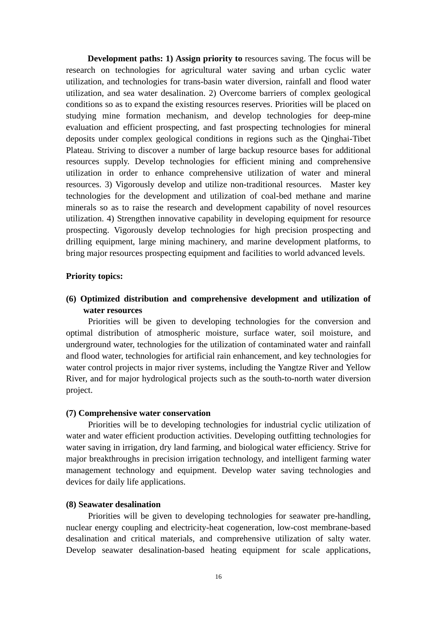**Development paths: 1) Assign priority to** resources saving. The focus will be research on technologies for agricultural water saving and urban cyclic water utilization, and technologies for trans-basin water diversion, rainfall and flood water utilization, and sea water desalination. 2) Overcome barriers of complex geological conditions so as to expand the existing resources reserves. Priorities will be placed on studying mine formation mechanism, and develop technologies for deep-mine evaluation and efficient prospecting, and fast prospecting technologies for mineral deposits under complex geological conditions in regions such as the Qinghai-Tibet Plateau. Striving to discover a number of large backup resource bases for additional resources supply. Develop technologies for efficient mining and comprehensive utilization in order to enhance comprehensive utilization of water and mineral resources. 3) Vigorously develop and utilize non-traditional resources. Master key technologies for the development and utilization of coal-bed methane and marine minerals so as to raise the research and development capability of novel resources utilization. 4) Strengthen innovative capability in developing equipment for resource prospecting. Vigorously develop technologies for high precision prospecting and drilling equipment, large mining machinery, and marine development platforms, to bring major resources prospecting equipment and facilities to world advanced levels.

## **Priority topics:**

# **(6) Optimized distribution and comprehensive development and utilization of water resources**

Priorities will be given to developing technologies for the conversion and optimal distribution of atmospheric moisture, surface water, soil moisture, and underground water, technologies for the utilization of contaminated water and rainfall and flood water, technologies for artificial rain enhancement, and key technologies for water control projects in major river systems, including the Yangtze River and Yellow River, and for major hydrological projects such as the south-to-north water diversion project.

#### **(7) Comprehensive water conservation**

Priorities will be to developing technologies for industrial cyclic utilization of water and water efficient production activities. Developing outfitting technologies for water saving in irrigation, dry land farming, and biological water efficiency. Strive for major breakthroughs in precision irrigation technology, and intelligent farming water management technology and equipment. Develop water saving technologies and devices for daily life applications.

#### **(8) Seawater desalination**

Priorities will be given to developing technologies for seawater pre-handling, nuclear energy coupling and electricity-heat cogeneration, low-cost membrane-based desalination and critical materials, and comprehensive utilization of salty water. Develop seawater desalination-based heating equipment for scale applications,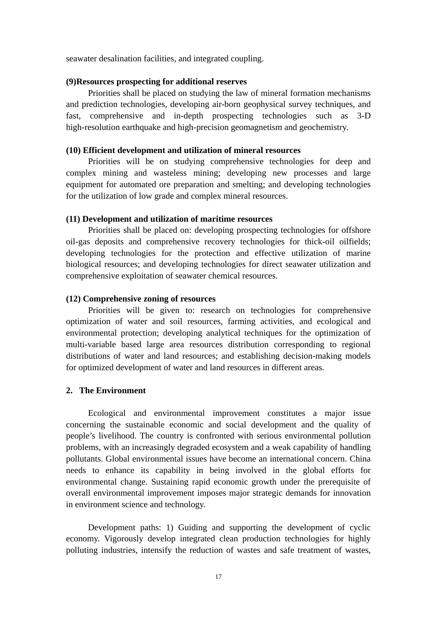seawater desalination facilities, and integrated coupling.

## **(9)Resources prospecting for additional reserves**

Priorities shall be placed on studying the law of mineral formation mechanisms and prediction technologies, developing air-born geophysical survey techniques, and fast, comprehensive and in-depth prospecting technologies such as 3-D high-resolution earthquake and high-precision geomagnetism and geochemistry.

#### **(10) Efficient development and utilization of mineral resources**

Priorities will be on studying comprehensive technologies for deep and complex mining and wasteless mining; developing new processes and large equipment for automated ore preparation and smelting; and developing technologies for the utilization of low grade and complex mineral resources.

#### **(11) Development and utilization of maritime resources**

Priorities shall be placed on: developing prospecting technologies for offshore oil-gas deposits and comprehensive recovery technologies for thick-oil oilfields; developing technologies for the protection and effective utilization of marine biological resources; and developing technologies for direct seawater utilization and comprehensive exploitation of seawater chemical resources.

#### **(12) Comprehensive zoning of resources**

Priorities will be given to: research on technologies for comprehensive optimization of water and soil resources, farming activities, and ecological and environmental protection; developing analytical techniques for the optimization of multi-variable based large area resources distribution corresponding to regional distributions of water and land resources; and establishing decision-making models for optimized development of water and land resources in different areas.

## **2. The Environment**

Ecological and environmental improvement constitutes a major issue concerning the sustainable economic and social development and the quality of people's livelihood. The country is confronted with serious environmental pollution problems, with an increasingly degraded ecosystem and a weak capability of handling pollutants. Global environmental issues have become an international concern. China needs to enhance its capability in being involved in the global efforts for environmental change. Sustaining rapid economic growth under the prerequisite of overall environmental improvement imposes major strategic demands for innovation in environment science and technology.

Development paths: 1) Guiding and supporting the development of cyclic economy. Vigorously develop integrated clean production technologies for highly polluting industries, intensify the reduction of wastes and safe treatment of wastes,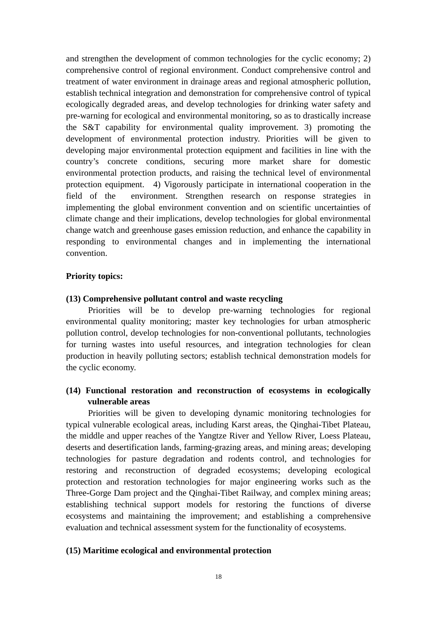and strengthen the development of common technologies for the cyclic economy; 2) comprehensive control of regional environment. Conduct comprehensive control and treatment of water environment in drainage areas and regional atmospheric pollution, establish technical integration and demonstration for comprehensive control of typical ecologically degraded areas, and develop technologies for drinking water safety and pre-warning for ecological and environmental monitoring, so as to drastically increase the S&T capability for environmental quality improvement. 3) promoting the development of environmental protection industry. Priorities will be given to developing major environmental protection equipment and facilities in line with the country's concrete conditions, securing more market share for domestic environmental protection products, and raising the technical level of environmental protection equipment. 4) Vigorously participate in international cooperation in the field of the environment. Strengthen research on response strategies in implementing the global environment convention and on scientific uncertainties of climate change and their implications, develop technologies for global environmental change watch and greenhouse gases emission reduction, and enhance the capability in responding to environmental changes and in implementing the international convention.

## **Priority topics:**

## **(13) Comprehensive pollutant control and waste recycling**

Priorities will be to develop pre-warning technologies for regional environmental quality monitoring; master key technologies for urban atmospheric pollution control, develop technologies for non-conventional pollutants, technologies for turning wastes into useful resources, and integration technologies for clean production in heavily polluting sectors; establish technical demonstration models for the cyclic economy.

# **(14) Functional restoration and reconstruction of ecosystems in ecologically vulnerable areas**

Priorities will be given to developing dynamic monitoring technologies for typical vulnerable ecological areas, including Karst areas, the Qinghai-Tibet Plateau, the middle and upper reaches of the Yangtze River and Yellow River, Loess Plateau, deserts and desertification lands, farming-grazing areas, and mining areas; developing technologies for pasture degradation and rodents control, and technologies for restoring and reconstruction of degraded ecosystems; developing ecological protection and restoration technologies for major engineering works such as the Three-Gorge Dam project and the Qinghai-Tibet Railway, and complex mining areas; establishing technical support models for restoring the functions of diverse ecosystems and maintaining the improvement; and establishing a comprehensive evaluation and technical assessment system for the functionality of ecosystems.

## **(15) Maritime ecological and environmental protection**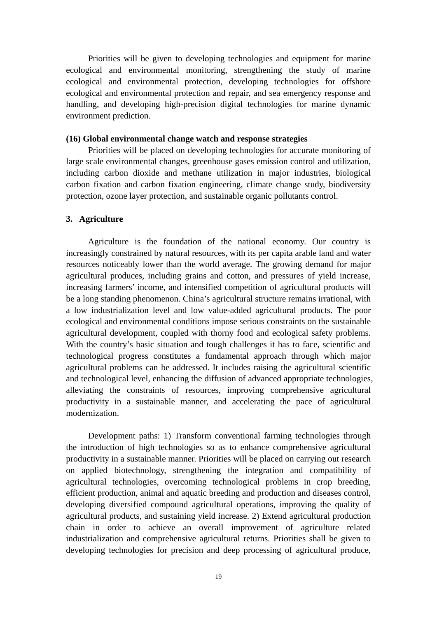Priorities will be given to developing technologies and equipment for marine ecological and environmental monitoring, strengthening the study of marine ecological and environmental protection, developing technologies for offshore ecological and environmental protection and repair, and sea emergency response and handling, and developing high-precision digital technologies for marine dynamic environment prediction.

## **(16) Global environmental change watch and response strategies**

Priorities will be placed on developing technologies for accurate monitoring of large scale environmental changes, greenhouse gases emission control and utilization, including carbon dioxide and methane utilization in major industries, biological carbon fixation and carbon fixation engineering, climate change study, biodiversity protection, ozone layer protection, and sustainable organic pollutants control.

## **3. Agriculture**

Agriculture is the foundation of the national economy. Our country is increasingly constrained by natural resources, with its per capita arable land and water resources noticeably lower than the world average. The growing demand for major agricultural produces, including grains and cotton, and pressures of yield increase, increasing farmers' income, and intensified competition of agricultural products will be a long standing phenomenon. China's agricultural structure remains irrational, with a low industrialization level and low value-added agricultural products. The poor ecological and environmental conditions impose serious constraints on the sustainable agricultural development, coupled with thorny food and ecological safety problems. With the country's basic situation and tough challenges it has to face, scientific and technological progress constitutes a fundamental approach through which major agricultural problems can be addressed. It includes raising the agricultural scientific and technological level, enhancing the diffusion of advanced appropriate technologies, alleviating the constraints of resources, improving comprehensive agricultural productivity in a sustainable manner, and accelerating the pace of agricultural modernization.

Development paths: 1) Transform conventional farming technologies through the introduction of high technologies so as to enhance comprehensive agricultural productivity in a sustainable manner. Priorities will be placed on carrying out research on applied biotechnology, strengthening the integration and compatibility of agricultural technologies, overcoming technological problems in crop breeding, efficient production, animal and aquatic breeding and production and diseases control, developing diversified compound agricultural operations, improving the quality of agricultural products, and sustaining yield increase. 2) Extend agricultural production chain in order to achieve an overall improvement of agriculture related industrialization and comprehensive agricultural returns. Priorities shall be given to developing technologies for precision and deep processing of agricultural produce,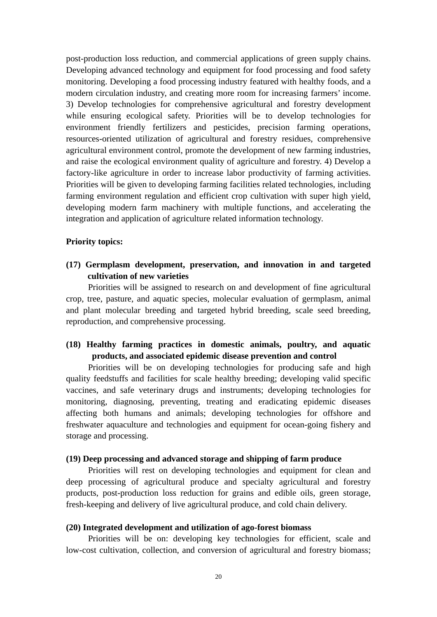post-production loss reduction, and commercial applications of green supply chains. Developing advanced technology and equipment for food processing and food safety monitoring. Developing a food processing industry featured with healthy foods, and a modern circulation industry, and creating more room for increasing farmers' income. 3) Develop technologies for comprehensive agricultural and forestry development while ensuring ecological safety. Priorities will be to develop technologies for environment friendly fertilizers and pesticides, precision farming operations, resources-oriented utilization of agricultural and forestry residues, comprehensive agricultural environment control, promote the development of new farming industries, and raise the ecological environment quality of agriculture and forestry. 4) Develop a factory-like agriculture in order to increase labor productivity of farming activities. Priorities will be given to developing farming facilities related technologies, including farming environment regulation and efficient crop cultivation with super high yield, developing modern farm machinery with multiple functions, and accelerating the integration and application of agriculture related information technology.

## **Priority topics:**

# **(17) Germplasm development, preservation, and innovation in and targeted cultivation of new varieties**

Priorities will be assigned to research on and development of fine agricultural crop, tree, pasture, and aquatic species, molecular evaluation of germplasm, animal and plant molecular breeding and targeted hybrid breeding, scale seed breeding, reproduction, and comprehensive processing.

# **(18) Healthy farming practices in domestic animals, poultry, and aquatic products, and associated epidemic disease prevention and control**

Priorities will be on developing technologies for producing safe and high quality feedstuffs and facilities for scale healthy breeding; developing valid specific vaccines, and safe veterinary drugs and instruments; developing technologies for monitoring, diagnosing, preventing, treating and eradicating epidemic diseases affecting both humans and animals; developing technologies for offshore and freshwater aquaculture and technologies and equipment for ocean-going fishery and storage and processing.

#### **(19) Deep processing and advanced storage and shipping of farm produce**

Priorities will rest on developing technologies and equipment for clean and deep processing of agricultural produce and specialty agricultural and forestry products, post-production loss reduction for grains and edible oils, green storage, fresh-keeping and delivery of live agricultural produce, and cold chain delivery.

#### **(20) Integrated development and utilization of ago-forest biomass**

Priorities will be on: developing key technologies for efficient, scale and low-cost cultivation, collection, and conversion of agricultural and forestry biomass;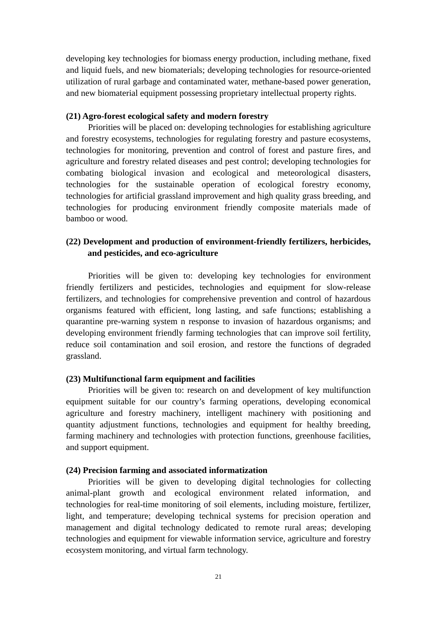developing key technologies for biomass energy production, including methane, fixed and liquid fuels, and new biomaterials; developing technologies for resource-oriented utilization of rural garbage and contaminated water, methane-based power generation, and new biomaterial equipment possessing proprietary intellectual property rights.

## **(21) Agro-forest ecological safety and modern forestry**

Priorities will be placed on: developing technologies for establishing agriculture and forestry ecosystems, technologies for regulating forestry and pasture ecosystems, technologies for monitoring, prevention and control of forest and pasture fires, and agriculture and forestry related diseases and pest control; developing technologies for combating biological invasion and ecological and meteorological disasters, technologies for the sustainable operation of ecological forestry economy, technologies for artificial grassland improvement and high quality grass breeding, and technologies for producing environment friendly composite materials made of bamboo or wood.

# **(22) Development and production of environment-friendly fertilizers, herbicides, and pesticides, and eco-agriculture**

Priorities will be given to: developing key technologies for environment friendly fertilizers and pesticides, technologies and equipment for slow-release fertilizers, and technologies for comprehensive prevention and control of hazardous organisms featured with efficient, long lasting, and safe functions; establishing a quarantine pre-warning system n response to invasion of hazardous organisms; and developing environment friendly farming technologies that can improve soil fertility, reduce soil contamination and soil erosion, and restore the functions of degraded grassland.

## **(23) Multifunctional farm equipment and facilities**

Priorities will be given to: research on and development of key multifunction equipment suitable for our country's farming operations, developing economical agriculture and forestry machinery, intelligent machinery with positioning and quantity adjustment functions, technologies and equipment for healthy breeding, farming machinery and technologies with protection functions, greenhouse facilities, and support equipment.

## **(24) Precision farming and associated informatization**

Priorities will be given to developing digital technologies for collecting animal-plant growth and ecological environment related information, and technologies for real-time monitoring of soil elements, including moisture, fertilizer, light, and temperature; developing technical systems for precision operation and management and digital technology dedicated to remote rural areas; developing technologies and equipment for viewable information service, agriculture and forestry ecosystem monitoring, and virtual farm technology.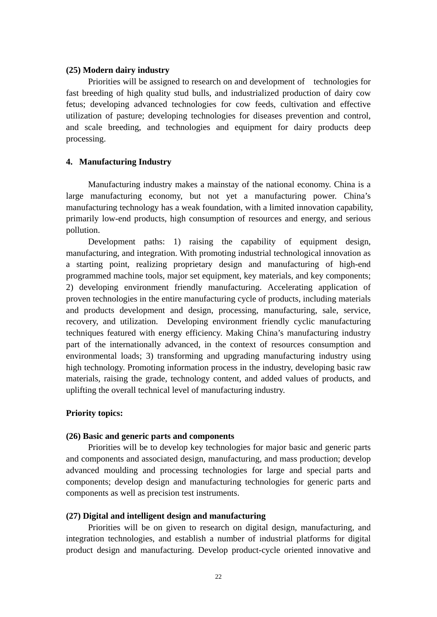## **(25) Modern dairy industry**

Priorities will be assigned to research on and development of technologies for fast breeding of high quality stud bulls, and industrialized production of dairy cow fetus; developing advanced technologies for cow feeds, cultivation and effective utilization of pasture; developing technologies for diseases prevention and control, and scale breeding, and technologies and equipment for dairy products deep processing.

## **4. Manufacturing Industry**

Manufacturing industry makes a mainstay of the national economy. China is a large manufacturing economy, but not yet a manufacturing power. China's manufacturing technology has a weak foundation, with a limited innovation capability, primarily low-end products, high consumption of resources and energy, and serious pollution.

Development paths: 1) raising the capability of equipment design, manufacturing, and integration. With promoting industrial technological innovation as a starting point, realizing proprietary design and manufacturing of high-end programmed machine tools, major set equipment, key materials, and key components; 2) developing environment friendly manufacturing. Accelerating application of proven technologies in the entire manufacturing cycle of products, including materials and products development and design, processing, manufacturing, sale, service, recovery, and utilization. Developing environment friendly cyclic manufacturing techniques featured with energy efficiency. Making China's manufacturing industry part of the internationally advanced, in the context of resources consumption and environmental loads; 3) transforming and upgrading manufacturing industry using high technology. Promoting information process in the industry, developing basic raw materials, raising the grade, technology content, and added values of products, and uplifting the overall technical level of manufacturing industry.

## **Priority topics:**

#### **(26) Basic and generic parts and components**

Priorities will be to develop key technologies for major basic and generic parts and components and associated design, manufacturing, and mass production; develop advanced moulding and processing technologies for large and special parts and components; develop design and manufacturing technologies for generic parts and components as well as precision test instruments.

#### **(27) Digital and intelligent design and manufacturing**

Priorities will be on given to research on digital design, manufacturing, and integration technologies, and establish a number of industrial platforms for digital product design and manufacturing. Develop product-cycle oriented innovative and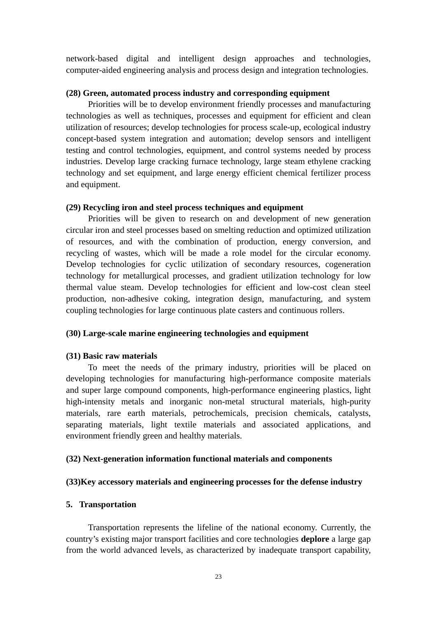network-based digital and intelligent design approaches and technologies, computer-aided engineering analysis and process design and integration technologies.

## **(28) Green, automated process industry and corresponding equipment**

Priorities will be to develop environment friendly processes and manufacturing technologies as well as techniques, processes and equipment for efficient and clean utilization of resources; develop technologies for process scale-up, ecological industry concept-based system integration and automation; develop sensors and intelligent testing and control technologies, equipment, and control systems needed by process industries. Develop large cracking furnace technology, large steam ethylene cracking technology and set equipment, and large energy efficient chemical fertilizer process and equipment.

#### **(29) Recycling iron and steel process techniques and equipment**

Priorities will be given to research on and development of new generation circular iron and steel processes based on smelting reduction and optimized utilization of resources, and with the combination of production, energy conversion, and recycling of wastes, which will be made a role model for the circular economy. Develop technologies for cyclic utilization of secondary resources, cogeneration technology for metallurgical processes, and gradient utilization technology for low thermal value steam. Develop technologies for efficient and low-cost clean steel production, non-adhesive coking, integration design, manufacturing, and system coupling technologies for large continuous plate casters and continuous rollers.

#### **(30) Large-scale marine engineering technologies and equipment**

#### **(31) Basic raw materials**

To meet the needs of the primary industry, priorities will be placed on developing technologies for manufacturing high-performance composite materials and super large compound components, high-performance engineering plastics, light high-intensity metals and inorganic non-metal structural materials, high-purity materials, rare earth materials, petrochemicals, precision chemicals, catalysts, separating materials, light textile materials and associated applications, and environment friendly green and healthy materials.

#### **(32) Next-generation information functional materials and components**

#### **(33)Key accessory materials and engineering processes for the defense industry**

#### **5. Transportation**

Transportation represents the lifeline of the national economy. Currently, the country's existing major transport facilities and core technologies **deplore** a large gap from the world advanced levels, as characterized by inadequate transport capability,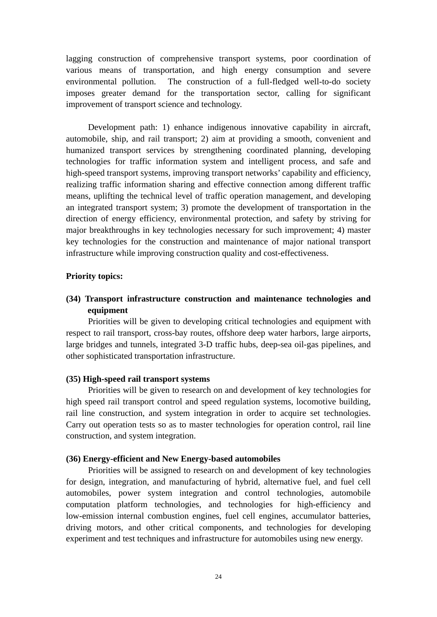lagging construction of comprehensive transport systems, poor coordination of various means of transportation, and high energy consumption and severe environmental pollution. The construction of a full-fledged well-to-do society imposes greater demand for the transportation sector, calling for significant improvement of transport science and technology.

Development path: 1) enhance indigenous innovative capability in aircraft, automobile, ship, and rail transport; 2) aim at providing a smooth, convenient and humanized transport services by strengthening coordinated planning, developing technologies for traffic information system and intelligent process, and safe and high-speed transport systems, improving transport networks' capability and efficiency, realizing traffic information sharing and effective connection among different traffic means, uplifting the technical level of traffic operation management, and developing an integrated transport system; 3) promote the development of transportation in the direction of energy efficiency, environmental protection, and safety by striving for major breakthroughs in key technologies necessary for such improvement; 4) master key technologies for the construction and maintenance of major national transport infrastructure while improving construction quality and cost-effectiveness.

## **Priority topics:**

# **(34) Transport infrastructure construction and maintenance technologies and equipment**

Priorities will be given to developing critical technologies and equipment with respect to rail transport, cross-bay routes, offshore deep water harbors, large airports, large bridges and tunnels, integrated 3-D traffic hubs, deep-sea oil-gas pipelines, and other sophisticated transportation infrastructure.

## **(35) High-speed rail transport systems**

Priorities will be given to research on and development of key technologies for high speed rail transport control and speed regulation systems, locomotive building, rail line construction, and system integration in order to acquire set technologies. Carry out operation tests so as to master technologies for operation control, rail line construction, and system integration.

#### **(36) Energy-efficient and New Energy-based automobiles**

Priorities will be assigned to research on and development of key technologies for design, integration, and manufacturing of hybrid, alternative fuel, and fuel cell automobiles, power system integration and control technologies, automobile computation platform technologies, and technologies for high-efficiency and low-emission internal combustion engines, fuel cell engines, accumulator batteries, driving motors, and other critical components, and technologies for developing experiment and test techniques and infrastructure for automobiles using new energy.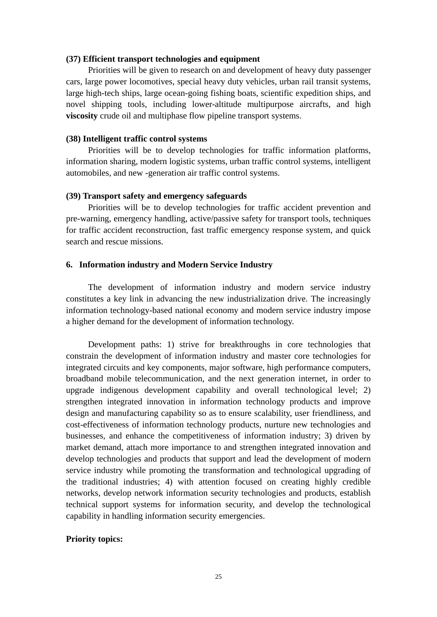## **(37) Efficient transport technologies and equipment**

Priorities will be given to research on and development of heavy duty passenger cars, large power locomotives, special heavy duty vehicles, urban rail transit systems, large high-tech ships, large ocean-going fishing boats, scientific expedition ships, and novel shipping tools, including lower-altitude multipurpose aircrafts, and high **viscosity** crude oil and multiphase flow pipeline transport systems.

## **(38) Intelligent traffic control systems**

Priorities will be to develop technologies for traffic information platforms, information sharing, modern logistic systems, urban traffic control systems, intelligent automobiles, and new -generation air traffic control systems.

## **(39) Transport safety and emergency safeguards**

Priorities will be to develop technologies for traffic accident prevention and pre-warning, emergency handling, active/passive safety for transport tools, techniques for traffic accident reconstruction, fast traffic emergency response system, and quick search and rescue missions.

## **6. Information industry and Modern Service Industry**

The development of information industry and modern service industry constitutes a key link in advancing the new industrialization drive. The increasingly information technology-based national economy and modern service industry impose a higher demand for the development of information technology.

Development paths: 1) strive for breakthroughs in core technologies that constrain the development of information industry and master core technologies for integrated circuits and key components, major software, high performance computers, broadband mobile telecommunication, and the next generation internet, in order to upgrade indigenous development capability and overall technological level; 2) strengthen integrated innovation in information technology products and improve design and manufacturing capability so as to ensure scalability, user friendliness, and cost-effectiveness of information technology products, nurture new technologies and businesses, and enhance the competitiveness of information industry; 3) driven by market demand, attach more importance to and strengthen integrated innovation and develop technologies and products that support and lead the development of modern service industry while promoting the transformation and technological upgrading of the traditional industries; 4) with attention focused on creating highly credible networks, develop network information security technologies and products, establish technical support systems for information security, and develop the technological capability in handling information security emergencies.

#### **Priority topics:**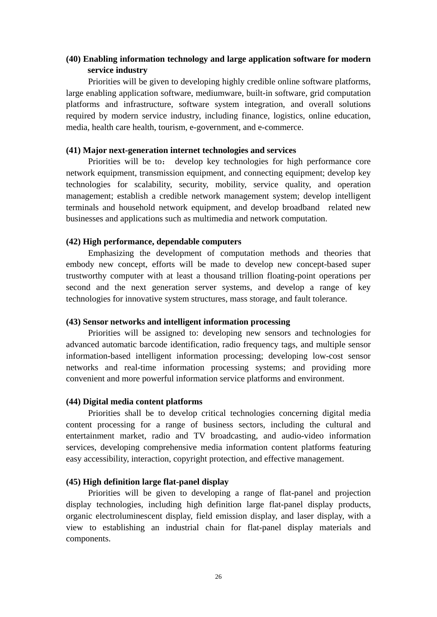# **(40) Enabling information technology and large application software for modern service industry**

Priorities will be given to developing highly credible online software platforms, large enabling application software, mediumware, built-in software, grid computation platforms and infrastructure, software system integration, and overall solutions required by modern service industry, including finance, logistics, online education, media, health care health, tourism, e-government, and e-commerce.

## **(41) Major next-generation internet technologies and services**

Priorities will be to: develop key technologies for high performance core network equipment, transmission equipment, and connecting equipment; develop key technologies for scalability, security, mobility, service quality, and operation management; establish a credible network management system; develop intelligent terminals and household network equipment, and develop broadband related new businesses and applications such as multimedia and network computation.

## **(42) High performance, dependable computers**

Emphasizing the development of computation methods and theories that embody new concept, efforts will be made to develop new concept-based super trustworthy computer with at least a thousand trillion floating-point operations per second and the next generation server systems, and develop a range of key technologies for innovative system structures, mass storage, and fault tolerance.

## **(43) Sensor networks and intelligent information processing**

Priorities will be assigned to: developing new sensors and technologies for advanced automatic barcode identification, radio frequency tags, and multiple sensor information-based intelligent information processing; developing low-cost sensor networks and real-time information processing systems; and providing more convenient and more powerful information service platforms and environment.

## **(44) Digital media content platforms**

Priorities shall be to develop critical technologies concerning digital media content processing for a range of business sectors, including the cultural and entertainment market, radio and TV broadcasting, and audio-video information services, developing comprehensive media information content platforms featuring easy accessibility, interaction, copyright protection, and effective management.

## **(45) High definition large flat-panel display**

Priorities will be given to developing a range of flat-panel and projection display technologies, including high definition large flat-panel display products, organic electroluminescent display, field emission display, and laser display, with a view to establishing an industrial chain for flat-panel display materials and components.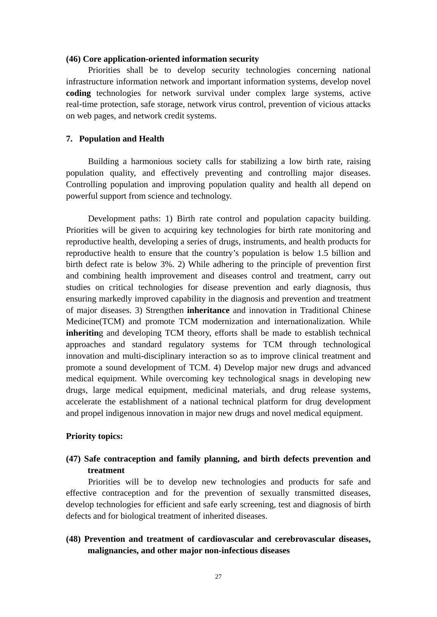#### **(46) Core application-oriented information security**

Priorities shall be to develop security technologies concerning national infrastructure information network and important information systems, develop novel **coding** technologies for network survival under complex large systems, active real-time protection, safe storage, network virus control, prevention of vicious attacks on web pages, and network credit systems.

## **7. Population and Health**

Building a harmonious society calls for stabilizing a low birth rate, raising population quality, and effectively preventing and controlling major diseases. Controlling population and improving population quality and health all depend on powerful support from science and technology.

Development paths: 1) Birth rate control and population capacity building. Priorities will be given to acquiring key technologies for birth rate monitoring and reproductive health, developing a series of drugs, instruments, and health products for reproductive health to ensure that the country's population is below 1.5 billion and birth defect rate is below 3%. 2) While adhering to the principle of prevention first and combining health improvement and diseases control and treatment, carry out studies on critical technologies for disease prevention and early diagnosis, thus ensuring markedly improved capability in the diagnosis and prevention and treatment of major diseases. 3) Strengthen **inheritance** and innovation in Traditional Chinese Medicine(TCM) and promote TCM modernization and internationalization. While **inheritin**g and developing TCM theory, efforts shall be made to establish technical approaches and standard regulatory systems for TCM through technological innovation and multi-disciplinary interaction so as to improve clinical treatment and promote a sound development of TCM. 4) Develop major new drugs and advanced medical equipment. While overcoming key technological snags in developing new drugs, large medical equipment, medicinal materials, and drug release systems, accelerate the establishment of a national technical platform for drug development and propel indigenous innovation in major new drugs and novel medical equipment.

## **Priority topics:**

# **(47) Safe contraception and family planning, and birth defects prevention and treatment**

Priorities will be to develop new technologies and products for safe and effective contraception and for the prevention of sexually transmitted diseases, develop technologies for efficient and safe early screening, test and diagnosis of birth defects and for biological treatment of inherited diseases.

## **(48) Prevention and treatment of cardiovascular and cerebrovascular diseases, malignancies, and other major non-infectious diseases**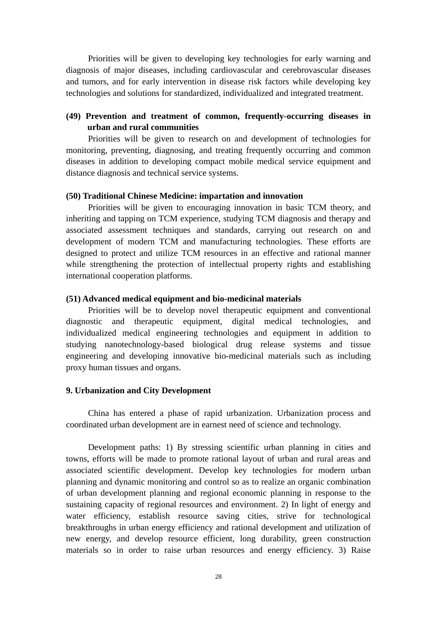Priorities will be given to developing key technologies for early warning and diagnosis of major diseases, including cardiovascular and cerebrovascular diseases and tumors, and for early intervention in disease risk factors while developing key technologies and solutions for standardized, individualized and integrated treatment.

# **(49) Prevention and treatment of common, frequently-occurring diseases in urban and rural communities**

Priorities will be given to research on and development of technologies for monitoring, preventing, diagnosing, and treating frequently occurring and common diseases in addition to developing compact mobile medical service equipment and distance diagnosis and technical service systems.

## **(50) Traditional Chinese Medicine: impartation and innovation**

Priorities will be given to encouraging innovation in basic TCM theory, and inheriting and tapping on TCM experience, studying TCM diagnosis and therapy and associated assessment techniques and standards, carrying out research on and development of modern TCM and manufacturing technologies. These efforts are designed to protect and utilize TCM resources in an effective and rational manner while strengthening the protection of intellectual property rights and establishing international cooperation platforms.

## **(51) Advanced medical equipment and bio-medicinal materials**

Priorities will be to develop novel therapeutic equipment and conventional diagnostic and therapeutic equipment, digital medical technologies, and individualized medical engineering technologies and equipment in addition to studying nanotechnology-based biological drug release systems and tissue engineering and developing innovative bio-medicinal materials such as including proxy human tissues and organs.

## **9. Urbanization and City Development**

China has entered a phase of rapid urbanization. Urbanization process and coordinated urban development are in earnest need of science and technology.

Development paths: 1) By stressing scientific urban planning in cities and towns, efforts will be made to promote rational layout of urban and rural areas and associated scientific development. Develop key technologies for modern urban planning and dynamic monitoring and control so as to realize an organic combination of urban development planning and regional economic planning in response to the sustaining capacity of regional resources and environment. 2) In light of energy and water efficiency, establish resource saving cities, strive for technological breakthroughs in urban energy efficiency and rational development and utilization of new energy, and develop resource efficient, long durability, green construction materials so in order to raise urban resources and energy efficiency. 3) Raise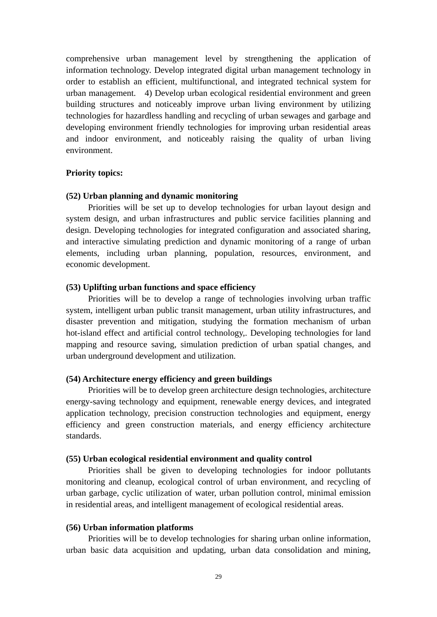comprehensive urban management level by strengthening the application of information technology. Develop integrated digital urban management technology in order to establish an efficient, multifunctional, and integrated technical system for urban management. 4) Develop urban ecological residential environment and green building structures and noticeably improve urban living environment by utilizing technologies for hazardless handling and recycling of urban sewages and garbage and developing environment friendly technologies for improving urban residential areas and indoor environment, and noticeably raising the quality of urban living environment.

#### **Priority topics:**

#### **(52) Urban planning and dynamic monitoring**

Priorities will be set up to develop technologies for urban layout design and system design, and urban infrastructures and public service facilities planning and design. Developing technologies for integrated configuration and associated sharing, and interactive simulating prediction and dynamic monitoring of a range of urban elements, including urban planning, population, resources, environment, and economic development.

## **(53) Uplifting urban functions and space efficiency**

Priorities will be to develop a range of technologies involving urban traffic system, intelligent urban public transit management, urban utility infrastructures, and disaster prevention and mitigation, studying the formation mechanism of urban hot-island effect and artificial control technology,. Developing technologies for land mapping and resource saving, simulation prediction of urban spatial changes, and urban underground development and utilization.

## **(54) Architecture energy efficiency and green buildings**

Priorities will be to develop green architecture design technologies, architecture energy-saving technology and equipment, renewable energy devices, and integrated application technology, precision construction technologies and equipment, energy efficiency and green construction materials, and energy efficiency architecture standards.

## **(55) Urban ecological residential environment and quality control**

Priorities shall be given to developing technologies for indoor pollutants monitoring and cleanup, ecological control of urban environment, and recycling of urban garbage, cyclic utilization of water, urban pollution control, minimal emission in residential areas, and intelligent management of ecological residential areas.

## **(56) Urban information platforms**

Priorities will be to develop technologies for sharing urban online information, urban basic data acquisition and updating, urban data consolidation and mining,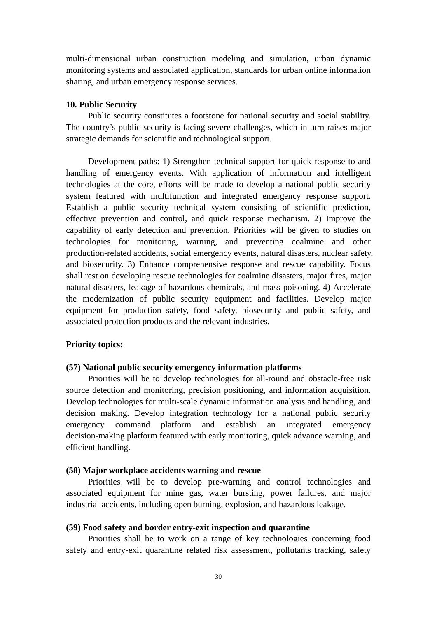multi-dimensional urban construction modeling and simulation, urban dynamic monitoring systems and associated application, standards for urban online information sharing, and urban emergency response services.

## **10. Public Security**

Public security constitutes a footstone for national security and social stability. The country's public security is facing severe challenges, which in turn raises major strategic demands for scientific and technological support.

Development paths: 1) Strengthen technical support for quick response to and handling of emergency events. With application of information and intelligent technologies at the core, efforts will be made to develop a national public security system featured with multifunction and integrated emergency response support. Establish a public security technical system consisting of scientific prediction, effective prevention and control, and quick response mechanism. 2) Improve the capability of early detection and prevention. Priorities will be given to studies on technologies for monitoring, warning, and preventing coalmine and other production-related accidents, social emergency events, natural disasters, nuclear safety, and biosecurity. 3) Enhance comprehensive response and rescue capability. Focus shall rest on developing rescue technologies for coalmine disasters, major fires, major natural disasters, leakage of hazardous chemicals, and mass poisoning. 4) Accelerate the modernization of public security equipment and facilities. Develop major equipment for production safety, food safety, biosecurity and public safety, and associated protection products and the relevant industries.

## **Priority topics:**

## **(57) National public security emergency information platforms**

Priorities will be to develop technologies for all-round and obstacle-free risk source detection and monitoring, precision positioning, and information acquisition. Develop technologies for multi-scale dynamic information analysis and handling, and decision making. Develop integration technology for a national public security emergency command platform and establish an integrated emergency decision-making platform featured with early monitoring, quick advance warning, and efficient handling.

## **(58) Major workplace accidents warning and rescue**

Priorities will be to develop pre-warning and control technologies and associated equipment for mine gas, water bursting, power failures, and major industrial accidents, including open burning, explosion, and hazardous leakage.

## **(59) Food safety and border entry-exit inspection and quarantine**

Priorities shall be to work on a range of key technologies concerning food safety and entry-exit quarantine related risk assessment, pollutants tracking, safety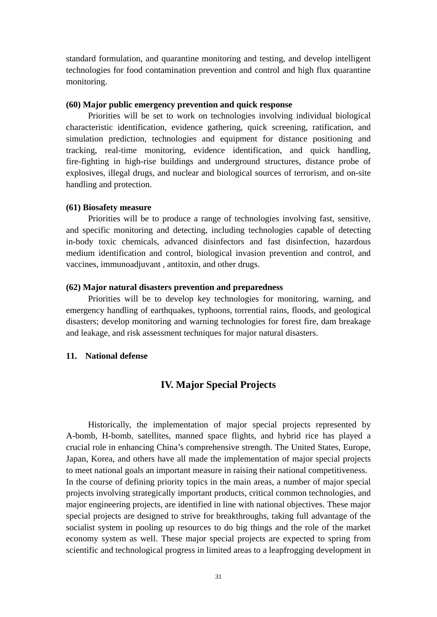standard formulation, and quarantine monitoring and testing, and develop intelligent technologies for food contamination prevention and control and high flux quarantine monitoring.

## **(60) Major public emergency prevention and quick response**

Priorities will be set to work on technologies involving individual biological characteristic identification, evidence gathering, quick screening, ratification, and simulation prediction, technologies and equipment for distance positioning and tracking, real-time monitoring, evidence identification, and quick handling, fire-fighting in high-rise buildings and underground structures, distance probe of explosives, illegal drugs, and nuclear and biological sources of terrorism, and on-site handling and protection.

## **(61) Biosafety measure**

Priorities will be to produce a range of technologies involving fast, sensitive, and specific monitoring and detecting, including technologies capable of detecting in-body toxic chemicals, advanced disinfectors and fast disinfection, hazardous medium identification and control, biological invasion prevention and control, and vaccines, immunoadjuvant , antitoxin, and other drugs.

## **(62) Major natural disasters prevention and preparedness**

Priorities will be to develop key technologies for monitoring, warning, and emergency handling of earthquakes, typhoons, torrential rains, floods, and geological disasters; develop monitoring and warning technologies for forest fire, dam breakage and leakage, and risk assessment techniques for major natural disasters.

## **11. National defense**

# **IV. Major Special Projects**

Historically, the implementation of major special projects represented by A-bomb, H-bomb, satellites, manned space flights, and hybrid rice has played a crucial role in enhancing China's comprehensive strength. The United States, Europe, Japan, Korea, and others have all made the implementation of major special projects to meet national goals an important measure in raising their national competitiveness. In the course of defining priority topics in the main areas, a number of major special projects involving strategically important products, critical common technologies, and major engineering projects, are identified in line with national objectives. These major special projects are designed to strive for breakthroughs, taking full advantage of the socialist system in pooling up resources to do big things and the role of the market economy system as well. These major special projects are expected to spring from scientific and technological progress in limited areas to a leapfrogging development in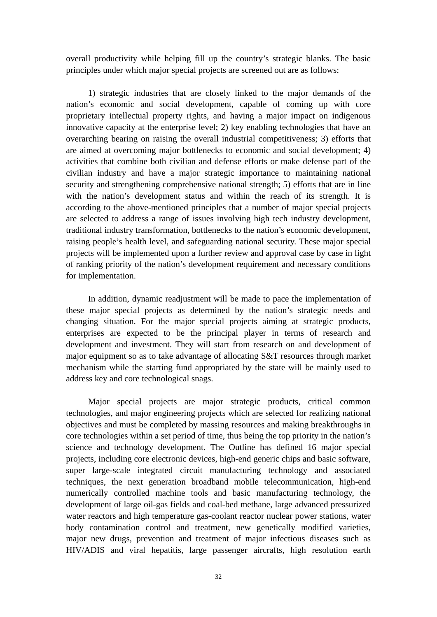overall productivity while helping fill up the country's strategic blanks. The basic principles under which major special projects are screened out are as follows:

1) strategic industries that are closely linked to the major demands of the nation's economic and social development, capable of coming up with core proprietary intellectual property rights, and having a major impact on indigenous innovative capacity at the enterprise level; 2) key enabling technologies that have an overarching bearing on raising the overall industrial competitiveness; 3) efforts that are aimed at overcoming major bottlenecks to economic and social development; 4) activities that combine both civilian and defense efforts or make defense part of the civilian industry and have a major strategic importance to maintaining national security and strengthening comprehensive national strength; 5) efforts that are in line with the nation's development status and within the reach of its strength. It is according to the above-mentioned principles that a number of major special projects are selected to address a range of issues involving high tech industry development, traditional industry transformation, bottlenecks to the nation's economic development, raising people's health level, and safeguarding national security. These major special projects will be implemented upon a further review and approval case by case in light of ranking priority of the nation's development requirement and necessary conditions for implementation.

In addition, dynamic readjustment will be made to pace the implementation of these major special projects as determined by the nation's strategic needs and changing situation. For the major special projects aiming at strategic products, enterprises are expected to be the principal player in terms of research and development and investment. They will start from research on and development of major equipment so as to take advantage of allocating S&T resources through market mechanism while the starting fund appropriated by the state will be mainly used to address key and core technological snags.

Major special projects are major strategic products, critical common technologies, and major engineering projects which are selected for realizing national objectives and must be completed by massing resources and making breakthroughs in core technologies within a set period of time, thus being the top priority in the nation's science and technology development. The Outline has defined 16 major special projects, including core electronic devices, high-end generic chips and basic software, super large-scale integrated circuit manufacturing technology and associated techniques, the next generation broadband mobile telecommunication, high-end numerically controlled machine tools and basic manufacturing technology, the development of large oil-gas fields and coal-bed methane, large advanced pressurized water reactors and high temperature gas-coolant reactor nuclear power stations, water body contamination control and treatment, new genetically modified varieties, major new drugs, prevention and treatment of major infectious diseases such as HIV/ADIS and viral hepatitis, large passenger aircrafts, high resolution earth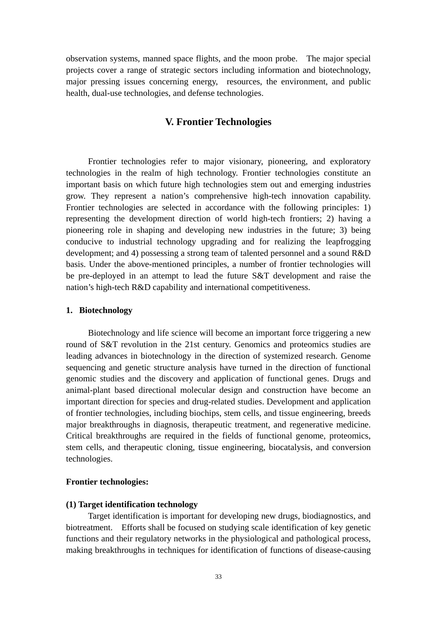observation systems, manned space flights, and the moon probe. The major special projects cover a range of strategic sectors including information and biotechnology, major pressing issues concerning energy, resources, the environment, and public health, dual-use technologies, and defense technologies.

# **V. Frontier Technologies**

Frontier technologies refer to major visionary, pioneering, and exploratory technologies in the realm of high technology. Frontier technologies constitute an important basis on which future high technologies stem out and emerging industries grow. They represent a nation's comprehensive high-tech innovation capability. Frontier technologies are selected in accordance with the following principles: 1) representing the development direction of world high-tech frontiers; 2) having a pioneering role in shaping and developing new industries in the future; 3) being conducive to industrial technology upgrading and for realizing the leapfrogging development; and 4) possessing a strong team of talented personnel and a sound R&D basis. Under the above-mentioned principles, a number of frontier technologies will be pre-deployed in an attempt to lead the future S&T development and raise the nation's high-tech R&D capability and international competitiveness.

## **1. Biotechnology**

Biotechnology and life science will become an important force triggering a new round of S&T revolution in the 21st century. Genomics and proteomics studies are leading advances in biotechnology in the direction of systemized research. Genome sequencing and genetic structure analysis have turned in the direction of functional genomic studies and the discovery and application of functional genes. Drugs and animal-plant based directional molecular design and construction have become an important direction for species and drug-related studies. Development and application of frontier technologies, including biochips, stem cells, and tissue engineering, breeds major breakthroughs in diagnosis, therapeutic treatment, and regenerative medicine. Critical breakthroughs are required in the fields of functional genome, proteomics, stem cells, and therapeutic cloning, tissue engineering, biocatalysis, and conversion technologies.

## **Frontier technologies:**

#### **(1) Target identification technology**

Target identification is important for developing new drugs, biodiagnostics, and biotreatment. Efforts shall be focused on studying scale identification of key genetic functions and their regulatory networks in the physiological and pathological process, making breakthroughs in techniques for identification of functions of disease-causing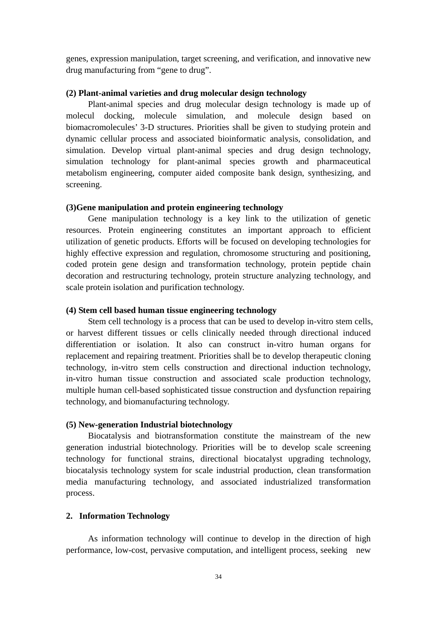genes, expression manipulation, target screening, and verification, and innovative new drug manufacturing from "gene to drug".

## **(2) Plant-animal varieties and drug molecular design technology**

Plant-animal species and drug molecular design technology is made up of molecul docking, molecule simulation, and molecule design based on biomacromolecules' 3-D structures. Priorities shall be given to studying protein and dynamic cellular process and associated bioinformatic analysis, consolidation, and simulation. Develop virtual plant-animal species and drug design technology, simulation technology for plant-animal species growth and pharmaceutical metabolism engineering, computer aided composite bank design, synthesizing, and screening.

## **(3)Gene manipulation and protein engineering technology**

Gene manipulation technology is a key link to the utilization of genetic resources. Protein engineering constitutes an important approach to efficient utilization of genetic products. Efforts will be focused on developing technologies for highly effective expression and regulation, chromosome structuring and positioning, coded protein gene design and transformation technology, protein peptide chain decoration and restructuring technology, protein structure analyzing technology, and scale protein isolation and purification technology.

## **(4) Stem cell based human tissue engineering technology**

Stem cell technology is a process that can be used to develop in-vitro stem cells, or harvest different tissues or cells clinically needed through directional induced differentiation or isolation. It also can construct in-vitro human organs for replacement and repairing treatment. Priorities shall be to develop therapeutic cloning technology, in-vitro stem cells construction and directional induction technology, in-vitro human tissue construction and associated scale production technology, multiple human cell-based sophisticated tissue construction and dysfunction repairing technology, and biomanufacturing technology.

## **(5) New-generation Industrial biotechnology**

Biocatalysis and biotransformation constitute the mainstream of the new generation industrial biotechnology. Priorities will be to develop scale screening technology for functional strains, directional biocatalyst upgrading technology, biocatalysis technology system for scale industrial production, clean transformation media manufacturing technology, and associated industrialized transformation process.

## **2. Information Technology**

As information technology will continue to develop in the direction of high performance, low-cost, pervasive computation, and intelligent process, seeking new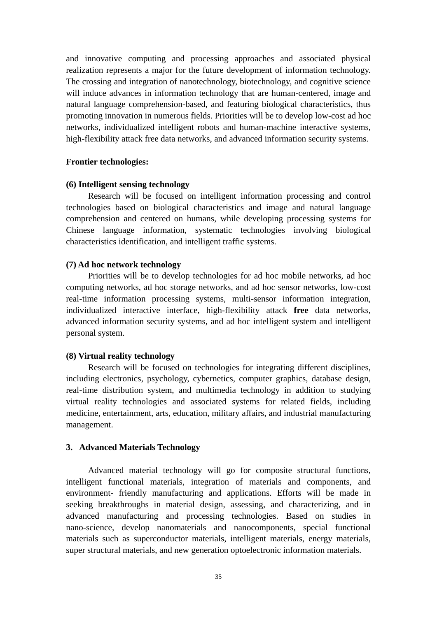and innovative computing and processing approaches and associated physical realization represents a major for the future development of information technology. The crossing and integration of nanotechnology, biotechnology, and cognitive science will induce advances in information technology that are human-centered, image and natural language comprehension-based, and featuring biological characteristics, thus promoting innovation in numerous fields. Priorities will be to develop low-cost ad hoc networks, individualized intelligent robots and human-machine interactive systems, high-flexibility attack free data networks, and advanced information security systems.

#### **Frontier technologies:**

#### **(6) Intelligent sensing technology**

Research will be focused on intelligent information processing and control technologies based on biological characteristics and image and natural language comprehension and centered on humans, while developing processing systems for Chinese language information, systematic technologies involving biological characteristics identification, and intelligent traffic systems.

#### **(7) Ad hoc network technology**

Priorities will be to develop technologies for ad hoc mobile networks, ad hoc computing networks, ad hoc storage networks, and ad hoc sensor networks, low-cost real-time information processing systems, multi-sensor information integration, individualized interactive interface, high-flexibility attack **free** data networks, advanced information security systems, and ad hoc intelligent system and intelligent personal system.

## **(8) Virtual reality technology**

Research will be focused on technologies for integrating different disciplines, including electronics, psychology, cybernetics, computer graphics, database design, real-time distribution system, and multimedia technology in addition to studying virtual reality technologies and associated systems for related fields, including medicine, entertainment, arts, education, military affairs, and industrial manufacturing management.

## **3. Advanced Materials Technology**

Advanced material technology will go for composite structural functions, intelligent functional materials, integration of materials and components, and environment- friendly manufacturing and applications. Efforts will be made in seeking breakthroughs in material design, assessing, and characterizing, and in advanced manufacturing and processing technologies. Based on studies in nano-science, develop nanomaterials and nanocomponents, special functional materials such as superconductor materials, intelligent materials, energy materials, super structural materials, and new generation optoelectronic information materials.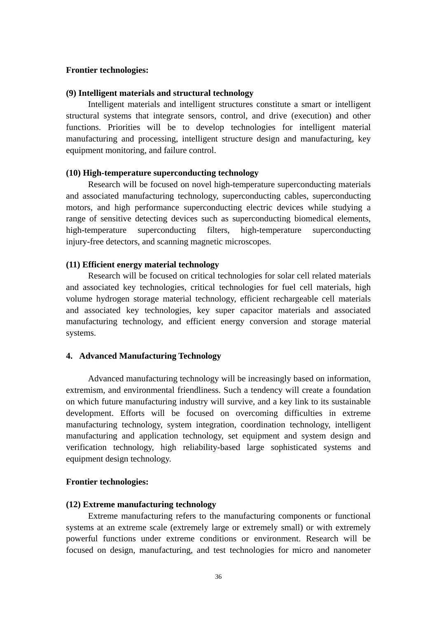#### **Frontier technologies:**

## **(9) Intelligent materials and structural technology**

Intelligent materials and intelligent structures constitute a smart or intelligent structural systems that integrate sensors, control, and drive (execution) and other functions. Priorities will be to develop technologies for intelligent material manufacturing and processing, intelligent structure design and manufacturing, key equipment monitoring, and failure control.

## **(10) High-temperature superconducting technology**

Research will be focused on novel high-temperature superconducting materials and associated manufacturing technology, superconducting cables, superconducting motors, and high performance superconducting electric devices while studying a range of sensitive detecting devices such as superconducting biomedical elements, high-temperature superconducting filters, high-temperature superconducting injury-free detectors, and scanning magnetic microscopes.

## **(11) Efficient energy material technology**

Research will be focused on critical technologies for solar cell related materials and associated key technologies, critical technologies for fuel cell materials, high volume hydrogen storage material technology, efficient rechargeable cell materials and associated key technologies, key super capacitor materials and associated manufacturing technology, and efficient energy conversion and storage material systems.

## **4. Advanced Manufacturing Technology**

Advanced manufacturing technology will be increasingly based on information, extremism, and environmental friendliness. Such a tendency will create a foundation on which future manufacturing industry will survive, and a key link to its sustainable development. Efforts will be focused on overcoming difficulties in extreme manufacturing technology, system integration, coordination technology, intelligent manufacturing and application technology, set equipment and system design and verification technology, high reliability-based large sophisticated systems and equipment design technology.

## **Frontier technologies:**

#### **(12) Extreme manufacturing technology**

Extreme manufacturing refers to the manufacturing components or functional systems at an extreme scale (extremely large or extremely small) or with extremely powerful functions under extreme conditions or environment. Research will be focused on design, manufacturing, and test technologies for micro and nanometer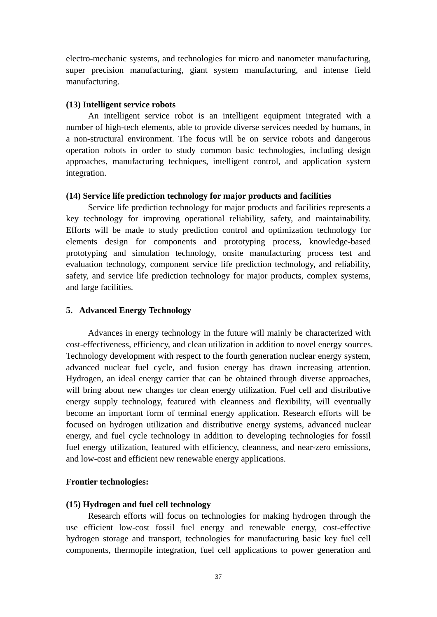electro-mechanic systems, and technologies for micro and nanometer manufacturing, super precision manufacturing, giant system manufacturing, and intense field manufacturing.

## **(13) Intelligent service robots**

An intelligent service robot is an intelligent equipment integrated with a number of high-tech elements, able to provide diverse services needed by humans, in a non-structural environment. The focus will be on service robots and dangerous operation robots in order to study common basic technologies, including design approaches, manufacturing techniques, intelligent control, and application system integration.

## **(14) Service life prediction technology for major products and facilities**

Service life prediction technology for major products and facilities represents a key technology for improving operational reliability, safety, and maintainability. Efforts will be made to study prediction control and optimization technology for elements design for components and prototyping process, knowledge-based prototyping and simulation technology, onsite manufacturing process test and evaluation technology, component service life prediction technology, and reliability, safety, and service life prediction technology for major products, complex systems, and large facilities.

## **5. Advanced Energy Technology**

Advances in energy technology in the future will mainly be characterized with cost-effectiveness, efficiency, and clean utilization in addition to novel energy sources. Technology development with respect to the fourth generation nuclear energy system, advanced nuclear fuel cycle, and fusion energy has drawn increasing attention. Hydrogen, an ideal energy carrier that can be obtained through diverse approaches, will bring about new changes tor clean energy utilization. Fuel cell and distributive energy supply technology, featured with cleanness and flexibility, will eventually become an important form of terminal energy application. Research efforts will be focused on hydrogen utilization and distributive energy systems, advanced nuclear energy, and fuel cycle technology in addition to developing technologies for fossil fuel energy utilization, featured with efficiency, cleanness, and near-zero emissions, and low-cost and efficient new renewable energy applications.

## **Frontier technologies:**

## **(15) Hydrogen and fuel cell technology**

Research efforts will focus on technologies for making hydrogen through the use efficient low-cost fossil fuel energy and renewable energy, cost-effective hydrogen storage and transport, technologies for manufacturing basic key fuel cell components, thermopile integration, fuel cell applications to power generation and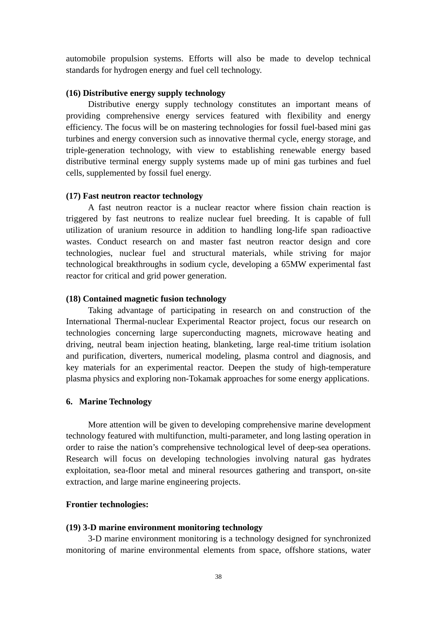automobile propulsion systems. Efforts will also be made to develop technical standards for hydrogen energy and fuel cell technology.

## **(16) Distributive energy supply technology**

Distributive energy supply technology constitutes an important means of providing comprehensive energy services featured with flexibility and energy efficiency. The focus will be on mastering technologies for fossil fuel-based mini gas turbines and energy conversion such as innovative thermal cycle, energy storage, and triple-generation technology, with view to establishing renewable energy based distributive terminal energy supply systems made up of mini gas turbines and fuel cells, supplemented by fossil fuel energy.

## **(17) Fast neutron reactor technology**

A fast neutron reactor is a nuclear reactor where fission chain reaction is triggered by fast neutrons to realize nuclear fuel breeding. It is capable of full utilization of uranium resource in addition to handling long-life span radioactive wastes. Conduct research on and master fast neutron reactor design and core technologies, nuclear fuel and structural materials, while striving for major technological breakthroughs in sodium cycle, developing a 65MW experimental fast reactor for critical and grid power generation.

#### **(18) Contained magnetic fusion technology**

Taking advantage of participating in research on and construction of the International Thermal-nuclear Experimental Reactor project, focus our research on technologies concerning large superconducting magnets, microwave heating and driving, neutral beam injection heating, blanketing, large real-time tritium isolation and purification, diverters, numerical modeling, plasma control and diagnosis, and key materials for an experimental reactor. Deepen the study of high-temperature plasma physics and exploring non-Tokamak approaches for some energy applications.

#### **6. Marine Technology**

More attention will be given to developing comprehensive marine development technology featured with multifunction, multi-parameter, and long lasting operation in order to raise the nation's comprehensive technological level of deep-sea operations. Research will focus on developing technologies involving natural gas hydrates exploitation, sea-floor metal and mineral resources gathering and transport, on-site extraction, and large marine engineering projects.

#### **Frontier technologies:**

#### **(19) 3-D marine environment monitoring technology**

3-D marine environment monitoring is a technology designed for synchronized monitoring of marine environmental elements from space, offshore stations, water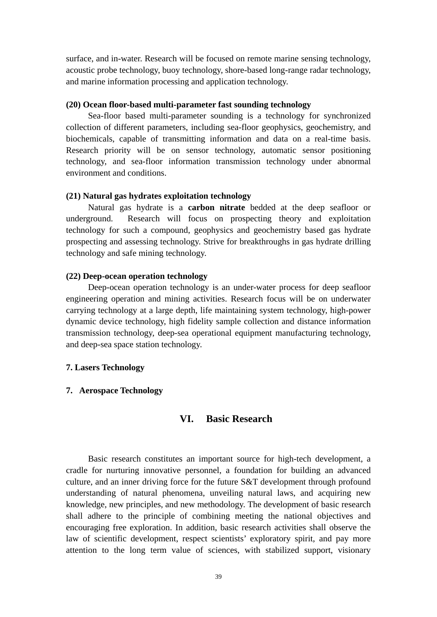surface, and in-water. Research will be focused on remote marine sensing technology, acoustic probe technology, buoy technology, shore-based long-range radar technology, and marine information processing and application technology.

## **(20) Ocean floor-based multi-parameter fast sounding technology**

Sea-floor based multi-parameter sounding is a technology for synchronized collection of different parameters, including sea-floor geophysics, geochemistry, and biochemicals, capable of transmitting information and data on a real-time basis. Research priority will be on sensor technology, automatic sensor positioning technology, and sea-floor information transmission technology under abnormal environment and conditions.

## **(21) Natural gas hydrates exploitation technology**

Natural gas hydrate is a **carbon nitrate** bedded at the deep seafloor or underground. Research will focus on prospecting theory and exploitation technology for such a compound, geophysics and geochemistry based gas hydrate prospecting and assessing technology. Strive for breakthroughs in gas hydrate drilling technology and safe mining technology.

## **(22) Deep-ocean operation technology**

Deep-ocean operation technology is an under-water process for deep seafloor engineering operation and mining activities. Research focus will be on underwater carrying technology at a large depth, life maintaining system technology, high-power dynamic device technology, high fidelity sample collection and distance information transmission technology, deep-sea operational equipment manufacturing technology, and deep-sea space station technology.

## **7. Lasers Technology**

## **7. Aerospace Technology**

# **VI. Basic Research**

Basic research constitutes an important source for high-tech development, a cradle for nurturing innovative personnel, a foundation for building an advanced culture, and an inner driving force for the future S&T development through profound understanding of natural phenomena, unveiling natural laws, and acquiring new knowledge, new principles, and new methodology. The development of basic research shall adhere to the principle of combining meeting the national objectives and encouraging free exploration. In addition, basic research activities shall observe the law of scientific development, respect scientists' exploratory spirit, and pay more attention to the long term value of sciences, with stabilized support, visionary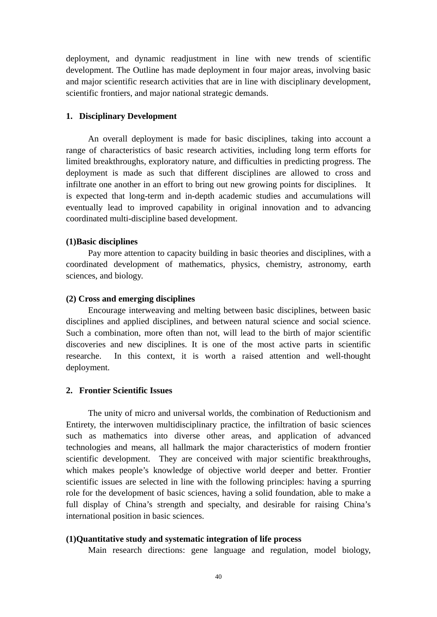deployment, and dynamic readjustment in line with new trends of scientific development. The Outline has made deployment in four major areas, involving basic and major scientific research activities that are in line with disciplinary development, scientific frontiers, and major national strategic demands.

## **1. Disciplinary Development**

An overall deployment is made for basic disciplines, taking into account a range of characteristics of basic research activities, including long term efforts for limited breakthroughs, exploratory nature, and difficulties in predicting progress. The deployment is made as such that different disciplines are allowed to cross and infiltrate one another in an effort to bring out new growing points for disciplines. It is expected that long-term and in-depth academic studies and accumulations will eventually lead to improved capability in original innovation and to advancing coordinated multi-discipline based development.

## **(1)Basic disciplines**

Pay more attention to capacity building in basic theories and disciplines, with a coordinated development of mathematics, physics, chemistry, astronomy, earth sciences, and biology.

#### **(2) Cross and emerging disciplines**

Encourage interweaving and melting between basic disciplines, between basic disciplines and applied disciplines, and between natural science and social science. Such a combination, more often than not, will lead to the birth of major scientific discoveries and new disciplines. It is one of the most active parts in scientific researche. In this context, it is worth a raised attention and well-thought deployment.

## **2. Frontier Scientific Issues**

The unity of micro and universal worlds, the combination of Reductionism and Entirety, the interwoven multidisciplinary practice, the infiltration of basic sciences such as mathematics into diverse other areas, and application of advanced technologies and means, all hallmark the major characteristics of modern frontier scientific development. They are conceived with major scientific breakthroughs, which makes people's knowledge of objective world deeper and better. Frontier scientific issues are selected in line with the following principles: having a spurring role for the development of basic sciences, having a solid foundation, able to make a full display of China's strength and specialty, and desirable for raising China's international position in basic sciences.

#### **(1)Quantitative study and systematic integration of life process**

Main research directions: gene language and regulation, model biology,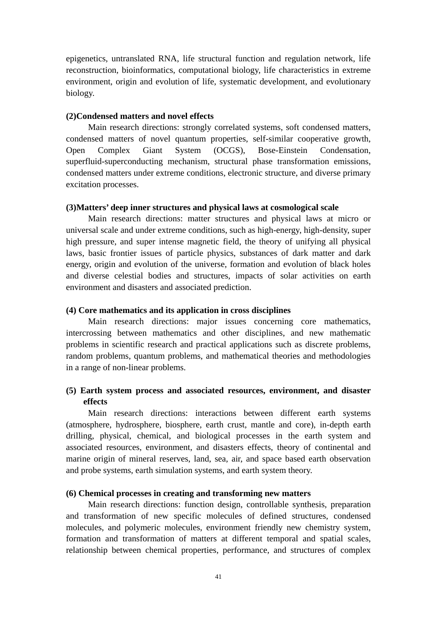epigenetics, untranslated RNA, life structural function and regulation network, life reconstruction, bioinformatics, computational biology, life characteristics in extreme environment, origin and evolution of life, systematic development, and evolutionary biology.

## **(2)Condensed matters and novel effects**

Main research directions: strongly correlated systems, soft condensed matters, condensed matters of novel quantum properties, self-similar cooperative growth, Open Complex Giant System (OCGS), Bose-Einstein Condensation, superfluid-superconducting mechanism, structural phase transformation emissions, condensed matters under extreme conditions, electronic structure, and diverse primary excitation processes.

#### **(3)Matters' deep inner structures and physical laws at cosmological scale**

Main research directions: matter structures and physical laws at micro or universal scale and under extreme conditions, such as high-energy, high-density, super high pressure, and super intense magnetic field, the theory of unifying all physical laws, basic frontier issues of particle physics, substances of dark matter and dark energy, origin and evolution of the universe, formation and evolution of black holes and diverse celestial bodies and structures, impacts of solar activities on earth environment and disasters and associated prediction.

#### **(4) Core mathematics and its application in cross disciplines**

Main research directions: major issues concerning core mathematics, intercrossing between mathematics and other disciplines, and new mathematic problems in scientific research and practical applications such as discrete problems, random problems, quantum problems, and mathematical theories and methodologies in a range of non-linear problems.

# **(5) Earth system process and associated resources, environment, and disaster effects**

Main research directions: interactions between different earth systems (atmosphere, hydrosphere, biosphere, earth crust, mantle and core), in-depth earth drilling, physical, chemical, and biological processes in the earth system and associated resources, environment, and disasters effects, theory of continental and marine origin of mineral reserves, land, sea, air, and space based earth observation and probe systems, earth simulation systems, and earth system theory.

## **(6) Chemical processes in creating and transforming new matters**

Main research directions: function design, controllable synthesis, preparation and transformation of new specific molecules of defined structures, condensed molecules, and polymeric molecules, environment friendly new chemistry system, formation and transformation of matters at different temporal and spatial scales, relationship between chemical properties, performance, and structures of complex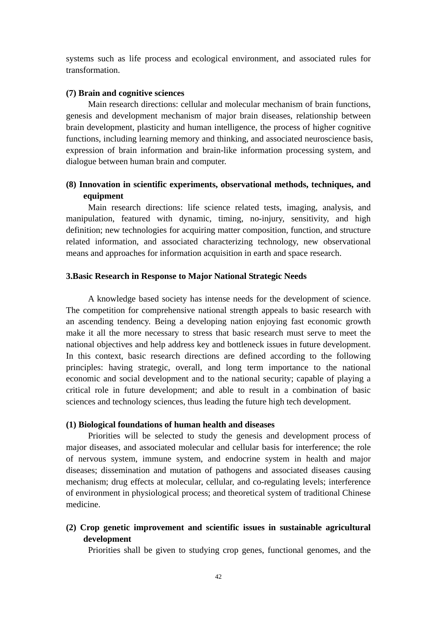systems such as life process and ecological environment, and associated rules for transformation.

## **(7) Brain and cognitive sciences**

Main research directions: cellular and molecular mechanism of brain functions, genesis and development mechanism of major brain diseases, relationship between brain development, plasticity and human intelligence, the process of higher cognitive functions, including learning memory and thinking, and associated neuroscience basis, expression of brain information and brain-like information processing system, and dialogue between human brain and computer.

# **(8) Innovation in scientific experiments, observational methods, techniques, and equipment**

Main research directions: life science related tests, imaging, analysis, and manipulation, featured with dynamic, timing, no-injury, sensitivity, and high definition; new technologies for acquiring matter composition, function, and structure related information, and associated characterizing technology, new observational means and approaches for information acquisition in earth and space research.

## **3.Basic Research in Response to Major National Strategic Needs**

A knowledge based society has intense needs for the development of science. The competition for comprehensive national strength appeals to basic research with an ascending tendency. Being a developing nation enjoying fast economic growth make it all the more necessary to stress that basic research must serve to meet the national objectives and help address key and bottleneck issues in future development. In this context, basic research directions are defined according to the following principles: having strategic, overall, and long term importance to the national economic and social development and to the national security; capable of playing a critical role in future development; and able to result in a combination of basic sciences and technology sciences, thus leading the future high tech development.

## **(1) Biological foundations of human health and diseases**

Priorities will be selected to study the genesis and development process of major diseases, and associated molecular and cellular basis for interference; the role of nervous system, immune system, and endocrine system in health and major diseases; dissemination and mutation of pathogens and associated diseases causing mechanism; drug effects at molecular, cellular, and co-regulating levels; interference of environment in physiological process; and theoretical system of traditional Chinese medicine.

# **(2) Crop genetic improvement and scientific issues in sustainable agricultural development**

Priorities shall be given to studying crop genes, functional genomes, and the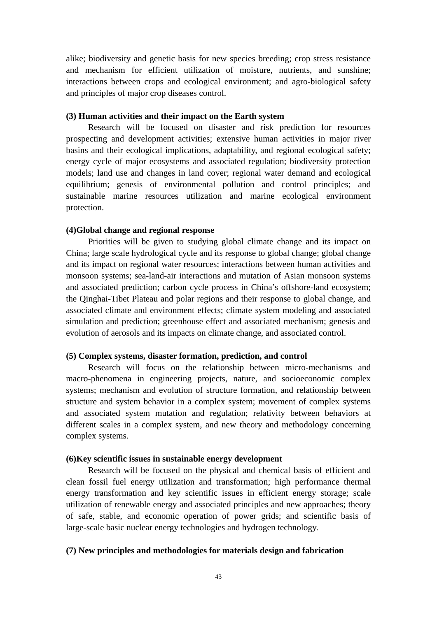alike; biodiversity and genetic basis for new species breeding; crop stress resistance and mechanism for efficient utilization of moisture, nutrients, and sunshine; interactions between crops and ecological environment; and agro-biological safety and principles of major crop diseases control.

## **(3) Human activities and their impact on the Earth system**

Research will be focused on disaster and risk prediction for resources prospecting and development activities; extensive human activities in major river basins and their ecological implications, adaptability, and regional ecological safety; energy cycle of major ecosystems and associated regulation; biodiversity protection models; land use and changes in land cover; regional water demand and ecological equilibrium; genesis of environmental pollution and control principles; and sustainable marine resources utilization and marine ecological environment protection.

## **(4)Global change and regional response**

Priorities will be given to studying global climate change and its impact on China; large scale hydrological cycle and its response to global change; global change and its impact on regional water resources; interactions between human activities and monsoon systems; sea-land-air interactions and mutation of Asian monsoon systems and associated prediction; carbon cycle process in China's offshore-land ecosystem; the Qinghai-Tibet Plateau and polar regions and their response to global change, and associated climate and environment effects; climate system modeling and associated simulation and prediction; greenhouse effect and associated mechanism; genesis and evolution of aerosols and its impacts on climate change, and associated control.

## **(5) Complex systems, disaster formation, prediction, and control**

Research will focus on the relationship between micro-mechanisms and macro-phenomena in engineering projects, nature, and socioeconomic complex systems; mechanism and evolution of structure formation, and relationship between structure and system behavior in a complex system; movement of complex systems and associated system mutation and regulation; relativity between behaviors at different scales in a complex system, and new theory and methodology concerning complex systems.

## **(6)Key scientific issues in sustainable energy development**

Research will be focused on the physical and chemical basis of efficient and clean fossil fuel energy utilization and transformation; high performance thermal energy transformation and key scientific issues in efficient energy storage; scale utilization of renewable energy and associated principles and new approaches; theory of safe, stable, and economic operation of power grids; and scientific basis of large-scale basic nuclear energy technologies and hydrogen technology.

## **(7) New principles and methodologies for materials design and fabrication**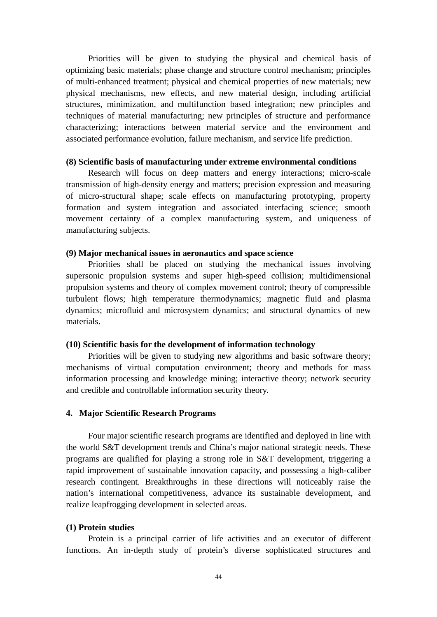Priorities will be given to studying the physical and chemical basis of optimizing basic materials; phase change and structure control mechanism; principles of multi-enhanced treatment; physical and chemical properties of new materials; new physical mechanisms, new effects, and new material design, including artificial structures, minimization, and multifunction based integration; new principles and techniques of material manufacturing; new principles of structure and performance characterizing; interactions between material service and the environment and associated performance evolution, failure mechanism, and service life prediction.

#### **(8) Scientific basis of manufacturing under extreme environmental conditions**

Research will focus on deep matters and energy interactions; micro-scale transmission of high-density energy and matters; precision expression and measuring of micro-structural shape; scale effects on manufacturing prototyping, property formation and system integration and associated interfacing science; smooth movement certainty of a complex manufacturing system, and uniqueness of manufacturing subjects.

#### **(9) Major mechanical issues in aeronautics and space science**

Priorities shall be placed on studying the mechanical issues involving supersonic propulsion systems and super high-speed collision; multidimensional propulsion systems and theory of complex movement control; theory of compressible turbulent flows; high temperature thermodynamics; magnetic fluid and plasma dynamics; microfluid and microsystem dynamics; and structural dynamics of new materials.

## **(10) Scientific basis for the development of information technology**

Priorities will be given to studying new algorithms and basic software theory; mechanisms of virtual computation environment; theory and methods for mass information processing and knowledge mining; interactive theory; network security and credible and controllable information security theory.

#### **4. Major Scientific Research Programs**

Four major scientific research programs are identified and deployed in line with the world S&T development trends and China's major national strategic needs. These programs are qualified for playing a strong role in S&T development, triggering a rapid improvement of sustainable innovation capacity, and possessing a high-caliber research contingent. Breakthroughs in these directions will noticeably raise the nation's international competitiveness, advance its sustainable development, and realize leapfrogging development in selected areas.

#### **(1) Protein studies**

Protein is a principal carrier of life activities and an executor of different functions. An in-depth study of protein's diverse sophisticated structures and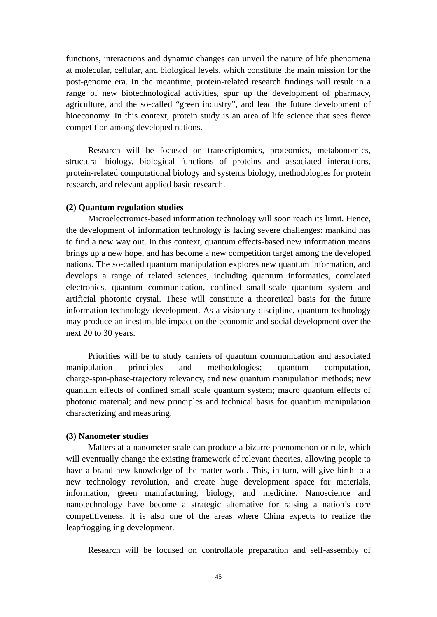functions, interactions and dynamic changes can unveil the nature of life phenomena at molecular, cellular, and biological levels, which constitute the main mission for the post-genome era. In the meantime, protein-related research findings will result in a range of new biotechnological activities, spur up the development of pharmacy, agriculture, and the so-called "green industry", and lead the future development of bioeconomy. In this context, protein study is an area of life science that sees fierce competition among developed nations.

Research will be focused on transcriptomics, proteomics, metabonomics, structural biology, biological functions of proteins and associated interactions, protein-related computational biology and systems biology, methodologies for protein research, and relevant applied basic research.

## **(2) Quantum regulation studies**

Microelectronics-based information technology will soon reach its limit. Hence, the development of information technology is facing severe challenges: mankind has to find a new way out. In this context, quantum effects-based new information means brings up a new hope, and has become a new competition target among the developed nations. The so-called quantum manipulation explores new quantum information, and develops a range of related sciences, including quantum informatics, correlated electronics, quantum communication, confined small-scale quantum system and artificial photonic crystal. These will constitute a theoretical basis for the future information technology development. As a visionary discipline, quantum technology may produce an inestimable impact on the economic and social development over the next 20 to 30 years.

Priorities will be to study carriers of quantum communication and associated manipulation principles and methodologies; quantum computation, charge-spin-phase-trajectory relevancy, and new quantum manipulation methods; new quantum effects of confined small scale quantum system; macro quantum effects of photonic material; and new principles and technical basis for quantum manipulation characterizing and measuring.

## **(3) Nanometer studies**

Matters at a nanometer scale can produce a bizarre phenomenon or rule, which will eventually change the existing framework of relevant theories, allowing people to have a brand new knowledge of the matter world. This, in turn, will give birth to a new technology revolution, and create huge development space for materials, information, green manufacturing, biology, and medicine. Nanoscience and nanotechnology have become a strategic alternative for raising a nation's core competitiveness. It is also one of the areas where China expects to realize the leapfrogging ing development.

Research will be focused on controllable preparation and self-assembly of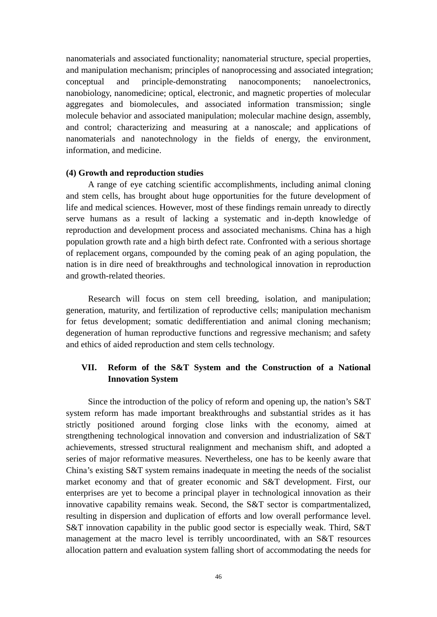nanomaterials and associated functionality; nanomaterial structure, special properties, and manipulation mechanism; principles of nanoprocessing and associated integration; conceptual and principle-demonstrating nanocomponents; nanoelectronics, nanobiology, nanomedicine; optical, electronic, and magnetic properties of molecular aggregates and biomolecules, and associated information transmission; single molecule behavior and associated manipulation; molecular machine design, assembly, and control; characterizing and measuring at a nanoscale; and applications of nanomaterials and nanotechnology in the fields of energy, the environment, information, and medicine.

#### **(4) Growth and reproduction studies**

A range of eye catching scientific accomplishments, including animal cloning and stem cells, has brought about huge opportunities for the future development of life and medical sciences. However, most of these findings remain unready to directly serve humans as a result of lacking a systematic and in-depth knowledge of reproduction and development process and associated mechanisms. China has a high population growth rate and a high birth defect rate. Confronted with a serious shortage of replacement organs, compounded by the coming peak of an aging population, the nation is in dire need of breakthroughs and technological innovation in reproduction and growth-related theories.

Research will focus on stem cell breeding, isolation, and manipulation; generation, maturity, and fertilization of reproductive cells; manipulation mechanism for fetus development; somatic dedifferentiation and animal cloning mechanism; degeneration of human reproductive functions and regressive mechanism; and safety and ethics of aided reproduction and stem cells technology.

# **VII. Reform of the S&T System and the Construction of a National Innovation System**

Since the introduction of the policy of reform and opening up, the nation's S&T system reform has made important breakthroughs and substantial strides as it has strictly positioned around forging close links with the economy, aimed at strengthening technological innovation and conversion and industrialization of S&T achievements, stressed structural realignment and mechanism shift, and adopted a series of major reformative measures. Nevertheless, one has to be keenly aware that China's existing S&T system remains inadequate in meeting the needs of the socialist market economy and that of greater economic and S&T development. First, our enterprises are yet to become a principal player in technological innovation as their innovative capability remains weak. Second, the S&T sector is compartmentalized, resulting in dispersion and duplication of efforts and low overall performance level. S&T innovation capability in the public good sector is especially weak. Third, S&T management at the macro level is terribly uncoordinated, with an S&T resources allocation pattern and evaluation system falling short of accommodating the needs for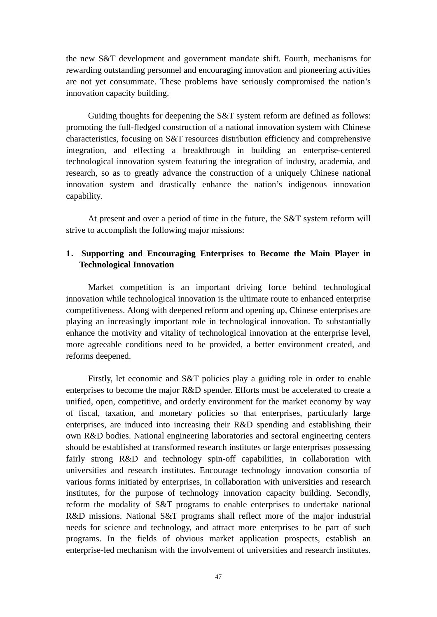the new S&T development and government mandate shift. Fourth, mechanisms for rewarding outstanding personnel and encouraging innovation and pioneering activities are not yet consummate. These problems have seriously compromised the nation's innovation capacity building.

Guiding thoughts for deepening the S&T system reform are defined as follows: promoting the full-fledged construction of a national innovation system with Chinese characteristics, focusing on S&T resources distribution efficiency and comprehensive integration, and effecting a breakthrough in building an enterprise-centered technological innovation system featuring the integration of industry, academia, and research, so as to greatly advance the construction of a uniquely Chinese national innovation system and drastically enhance the nation's indigenous innovation capability.

At present and over a period of time in the future, the S&T system reform will strive to accomplish the following major missions:

# **1**. **Supporting and Encouraging Enterprises to Become the Main Player in Technological Innovation**

Market competition is an important driving force behind technological innovation while technological innovation is the ultimate route to enhanced enterprise competitiveness. Along with deepened reform and opening up, Chinese enterprises are playing an increasingly important role in technological innovation. To substantially enhance the motivity and vitality of technological innovation at the enterprise level, more agreeable conditions need to be provided, a better environment created, and reforms deepened.

Firstly, let economic and S&T policies play a guiding role in order to enable enterprises to become the major R&D spender. Efforts must be accelerated to create a unified, open, competitive, and orderly environment for the market economy by way of fiscal, taxation, and monetary policies so that enterprises, particularly large enterprises, are induced into increasing their R&D spending and establishing their own R&D bodies. National engineering laboratories and sectoral engineering centers should be established at transformed research institutes or large enterprises possessing fairly strong R&D and technology spin-off capabilities, in collaboration with universities and research institutes. Encourage technology innovation consortia of various forms initiated by enterprises, in collaboration with universities and research institutes, for the purpose of technology innovation capacity building. Secondly, reform the modality of S&T programs to enable enterprises to undertake national R&D missions. National S&T programs shall reflect more of the major industrial needs for science and technology, and attract more enterprises to be part of such programs. In the fields of obvious market application prospects, establish an enterprise-led mechanism with the involvement of universities and research institutes.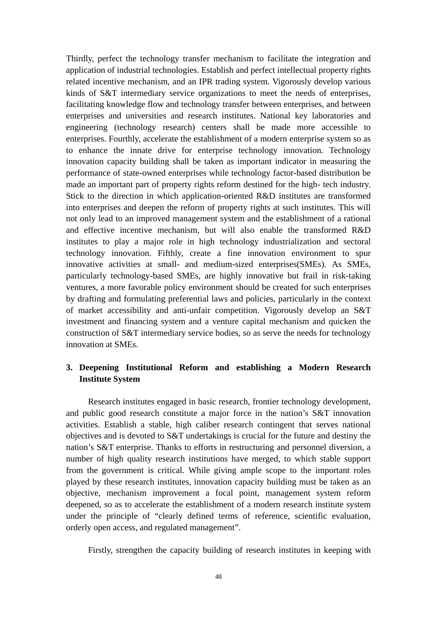Thirdly, perfect the technology transfer mechanism to facilitate the integration and application of industrial technologies. Establish and perfect intellectual property rights related incentive mechanism, and an IPR trading system. Vigorously develop various kinds of S&T intermediary service organizations to meet the needs of enterprises, facilitating knowledge flow and technology transfer between enterprises, and between enterprises and universities and research institutes. National key laboratories and engineering (technology research) centers shall be made more accessible to enterprises. Fourthly, accelerate the establishment of a modern enterprise system so as to enhance the innate drive for enterprise technology innovation. Technology innovation capacity building shall be taken as important indicator in measuring the performance of state-owned enterprises while technology factor-based distribution be made an important part of property rights reform destined for the high- tech industry. Stick to the direction in which application-oriented R&D institutes are transformed into enterprises and deepen the reform of property rights at such institutes. This will not only lead to an improved management system and the establishment of a rational and effective incentive mechanism, but will also enable the transformed R&D institutes to play a major role in high technology industrialization and sectoral technology innovation. Fifthly, create a fine innovation environment to spur innovative activities at small- and medium-sized enterprises(SMEs). As SMEs, particularly technology-based SMEs, are highly innovative but frail in risk-taking ventures, a more favorable policy environment should be created for such enterprises by drafting and formulating preferential laws and policies, particularly in the context of market accessibility and anti-unfair competition. Vigorously develop an S&T investment and financing system and a venture capital mechanism and quicken the construction of S&T intermediary service bodies, so as serve the needs for technology innovation at SMEs.

# **3. Deepening Institutional Reform and establishing a Modern Research Institute System**

Research institutes engaged in basic research, frontier technology development, and public good research constitute a major force in the nation's S&T innovation activities. Establish a stable, high caliber research contingent that serves national objectives and is devoted to S&T undertakings is crucial for the future and destiny the nation's S&T enterprise. Thanks to efforts in restructuring and personnel diversion, a number of high quality research institutions have merged, to which stable support from the government is critical. While giving ample scope to the important roles played by these research institutes, innovation capacity building must be taken as an objective, mechanism improvement a focal point, management system reform deepened, so as to accelerate the establishment of a modern research institute system under the principle of "clearly defined terms of reference, scientific evaluation, orderly open access, and regulated management".

Firstly, strengthen the capacity building of research institutes in keeping with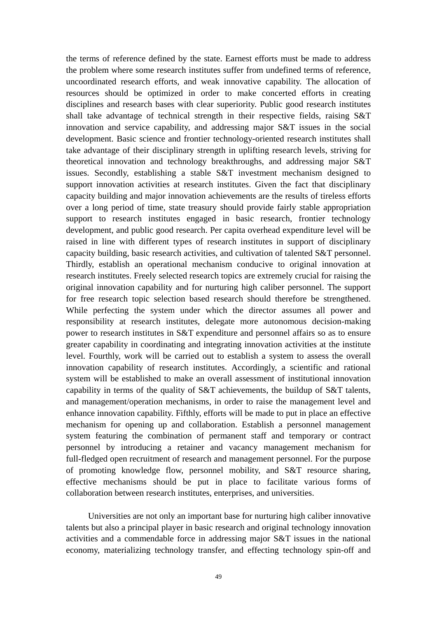the terms of reference defined by the state. Earnest efforts must be made to address the problem where some research institutes suffer from undefined terms of reference, uncoordinated research efforts, and weak innovative capability. The allocation of resources should be optimized in order to make concerted efforts in creating disciplines and research bases with clear superiority. Public good research institutes shall take advantage of technical strength in their respective fields, raising S&T innovation and service capability, and addressing major S&T issues in the social development. Basic science and frontier technology-oriented research institutes shall take advantage of their disciplinary strength in uplifting research levels, striving for theoretical innovation and technology breakthroughs, and addressing major S&T issues. Secondly, establishing a stable S&T investment mechanism designed to support innovation activities at research institutes. Given the fact that disciplinary capacity building and major innovation achievements are the results of tireless efforts over a long period of time, state treasury should provide fairly stable appropriation support to research institutes engaged in basic research, frontier technology development, and public good research. Per capita overhead expenditure level will be raised in line with different types of research institutes in support of disciplinary capacity building, basic research activities, and cultivation of talented S&T personnel. Thirdly, establish an operational mechanism conducive to original innovation at research institutes. Freely selected research topics are extremely crucial for raising the original innovation capability and for nurturing high caliber personnel. The support for free research topic selection based research should therefore be strengthened. While perfecting the system under which the director assumes all power and responsibility at research institutes, delegate more autonomous decision-making power to research institutes in S&T expenditure and personnel affairs so as to ensure greater capability in coordinating and integrating innovation activities at the institute level. Fourthly, work will be carried out to establish a system to assess the overall innovation capability of research institutes. Accordingly, a scientific and rational system will be established to make an overall assessment of institutional innovation capability in terms of the quality of S&T achievements, the buildup of S&T talents, and management/operation mechanisms, in order to raise the management level and enhance innovation capability. Fifthly, efforts will be made to put in place an effective mechanism for opening up and collaboration. Establish a personnel management system featuring the combination of permanent staff and temporary or contract personnel by introducing a retainer and vacancy management mechanism for full-fledged open recruitment of research and management personnel. For the purpose of promoting knowledge flow, personnel mobility, and S&T resource sharing, effective mechanisms should be put in place to facilitate various forms of collaboration between research institutes, enterprises, and universities.

Universities are not only an important base for nurturing high caliber innovative talents but also a principal player in basic research and original technology innovation activities and a commendable force in addressing major S&T issues in the national economy, materializing technology transfer, and effecting technology spin-off and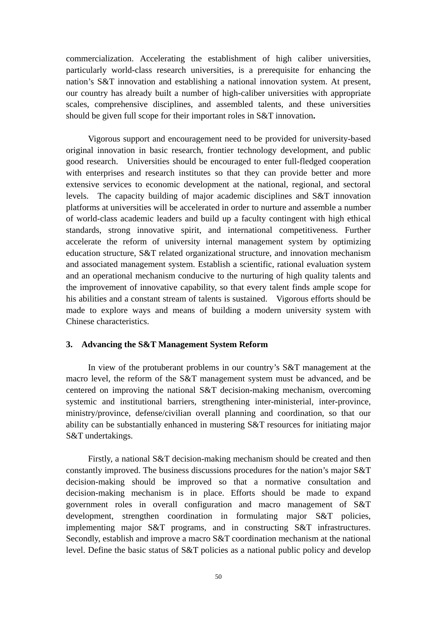commercialization. Accelerating the establishment of high caliber universities, particularly world-class research universities, is a prerequisite for enhancing the nation's S&T innovation and establishing a national innovation system. At present, our country has already built a number of high-caliber universities with appropriate scales, comprehensive disciplines, and assembled talents, and these universities should be given full scope for their important roles in S&T innovation**.**

Vigorous support and encouragement need to be provided for university-based original innovation in basic research, frontier technology development, and public good research. Universities should be encouraged to enter full-fledged cooperation with enterprises and research institutes so that they can provide better and more extensive services to economic development at the national, regional, and sectoral levels. The capacity building of major academic disciplines and S&T innovation platforms at universities will be accelerated in order to nurture and assemble a number of world-class academic leaders and build up a faculty contingent with high ethical standards, strong innovative spirit, and international competitiveness. Further accelerate the reform of university internal management system by optimizing education structure, S&T related organizational structure, and innovation mechanism and associated management system. Establish a scientific, rational evaluation system and an operational mechanism conducive to the nurturing of high quality talents and the improvement of innovative capability, so that every talent finds ample scope for his abilities and a constant stream of talents is sustained. Vigorous efforts should be made to explore ways and means of building a modern university system with Chinese characteristics.

## **3. Advancing the S&T Management System Reform**

In view of the protuberant problems in our country's S&T management at the macro level, the reform of the S&T management system must be advanced, and be centered on improving the national S&T decision-making mechanism, overcoming systemic and institutional barriers, strengthening inter-ministerial, inter-province, ministry/province, defense/civilian overall planning and coordination, so that our ability can be substantially enhanced in mustering S&T resources for initiating major S&T undertakings.

Firstly, a national S&T decision-making mechanism should be created and then constantly improved. The business discussions procedures for the nation's major S&T decision-making should be improved so that a normative consultation and decision-making mechanism is in place. Efforts should be made to expand government roles in overall configuration and macro management of S&T development, strengthen coordination in formulating major S&T policies, implementing major S&T programs, and in constructing S&T infrastructures. Secondly, establish and improve a macro S&T coordination mechanism at the national level. Define the basic status of S&T policies as a national public policy and develop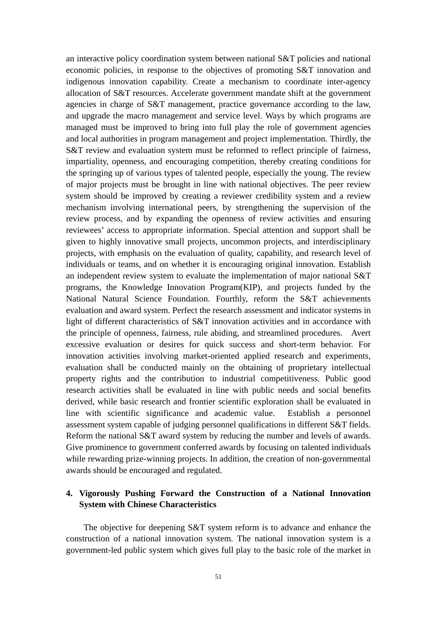an interactive policy coordination system between national S&T policies and national economic policies, in response to the objectives of promoting S&T innovation and indigenous innovation capability. Create a mechanism to coordinate inter-agency allocation of S&T resources. Accelerate government mandate shift at the government agencies in charge of S&T management, practice governance according to the law, and upgrade the macro management and service level. Ways by which programs are managed must be improved to bring into full play the role of government agencies and local authorities in program management and project implementation. Thirdly, the S&T review and evaluation system must be reformed to reflect principle of fairness, impartiality, openness, and encouraging competition, thereby creating conditions for the springing up of various types of talented people, especially the young. The review of major projects must be brought in line with national objectives. The peer review system should be improved by creating a reviewer credibility system and a review mechanism involving international peers, by strengthening the supervision of the review process, and by expanding the openness of review activities and ensuring reviewees' access to appropriate information. Special attention and support shall be given to highly innovative small projects, uncommon projects, and interdisciplinary projects, with emphasis on the evaluation of quality, capability, and research level of individuals or teams, and on whether it is encouraging original innovation. Establish an independent review system to evaluate the implementation of major national S&T programs, the Knowledge Innovation Program(KIP), and projects funded by the National Natural Science Foundation. Fourthly, reform the S&T achievements evaluation and award system. Perfect the research assessment and indicator systems in light of different characteristics of S&T innovation activities and in accordance with the principle of openness, fairness, rule abiding, and streamlined procedures. Avert excessive evaluation or desires for quick success and short-term behavior. For innovation activities involving market-oriented applied research and experiments, evaluation shall be conducted mainly on the obtaining of proprietary intellectual property rights and the contribution to industrial competitiveness. Public good research activities shall be evaluated in line with public needs and social benefits derived, while basic research and frontier scientific exploration shall be evaluated in line with scientific significance and academic value. Establish a personnel assessment system capable of judging personnel qualifications in different S&T fields. Reform the national S&T award system by reducing the number and levels of awards. Give prominence to government conferred awards by focusing on talented individuals while rewarding prize-winning projects. In addition, the creation of non-governmental awards should be encouraged and regulated.

# **4. Vigorously Pushing Forward the Construction of a National Innovation System with Chinese Characteristics**

The objective for deepening S&T system reform is to advance and enhance the construction of a national innovation system. The national innovation system is a government-led public system which gives full play to the basic role of the market in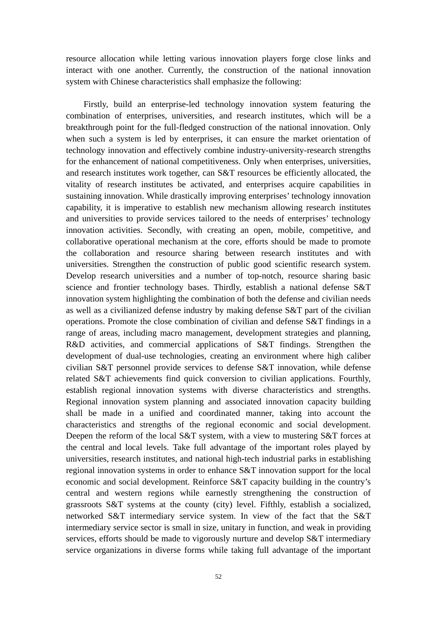resource allocation while letting various innovation players forge close links and interact with one another. Currently, the construction of the national innovation system with Chinese characteristics shall emphasize the following:

Firstly, build an enterprise-led technology innovation system featuring the combination of enterprises, universities, and research institutes, which will be a breakthrough point for the full-fledged construction of the national innovation. Only when such a system is led by enterprises, it can ensure the market orientation of technology innovation and effectively combine industry-university-research strengths for the enhancement of national competitiveness. Only when enterprises, universities, and research institutes work together, can S&T resources be efficiently allocated, the vitality of research institutes be activated, and enterprises acquire capabilities in sustaining innovation. While drastically improving enterprises' technology innovation capability, it is imperative to establish new mechanism allowing research institutes and universities to provide services tailored to the needs of enterprises' technology innovation activities. Secondly, with creating an open, mobile, competitive, and collaborative operational mechanism at the core, efforts should be made to promote the collaboration and resource sharing between research institutes and with universities. Strengthen the construction of public good scientific research system. Develop research universities and a number of top-notch, resource sharing basic science and frontier technology bases. Thirdly, establish a national defense S&T innovation system highlighting the combination of both the defense and civilian needs as well as a civilianized defense industry by making defense S&T part of the civilian operations. Promote the close combination of civilian and defense S&T findings in a range of areas, including macro management, development strategies and planning, R&D activities, and commercial applications of S&T findings. Strengthen the development of dual-use technologies, creating an environment where high caliber civilian S&T personnel provide services to defense S&T innovation, while defense related S&T achievements find quick conversion to civilian applications. Fourthly, establish regional innovation systems with diverse characteristics and strengths. Regional innovation system planning and associated innovation capacity building shall be made in a unified and coordinated manner, taking into account the characteristics and strengths of the regional economic and social development. Deepen the reform of the local S&T system, with a view to mustering S&T forces at the central and local levels. Take full advantage of the important roles played by universities, research institutes, and national high-tech industrial parks in establishing regional innovation systems in order to enhance S&T innovation support for the local economic and social development. Reinforce S&T capacity building in the country's central and western regions while earnestly strengthening the construction of grassroots S&T systems at the county (city) level. Fifthly, establish a socialized, networked S&T intermediary service system. In view of the fact that the S&T intermediary service sector is small in size, unitary in function, and weak in providing services, efforts should be made to vigorously nurture and develop S&T intermediary service organizations in diverse forms while taking full advantage of the important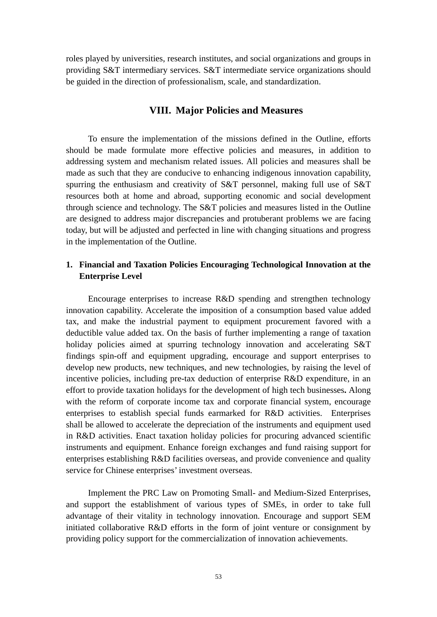roles played by universities, research institutes, and social organizations and groups in providing S&T intermediary services. S&T intermediate service organizations should be guided in the direction of professionalism, scale, and standardization.

# **VIII. Major Policies and Measures**

To ensure the implementation of the missions defined in the Outline, efforts should be made formulate more effective policies and measures, in addition to addressing system and mechanism related issues. All policies and measures shall be made as such that they are conducive to enhancing indigenous innovation capability, spurring the enthusiasm and creativity of S&T personnel, making full use of S&T resources both at home and abroad, supporting economic and social development through science and technology. The S&T policies and measures listed in the Outline are designed to address major discrepancies and protuberant problems we are facing today, but will be adjusted and perfected in line with changing situations and progress in the implementation of the Outline.

# **1. Financial and Taxation Policies Encouraging Technological Innovation at the Enterprise Level**

Encourage enterprises to increase R&D spending and strengthen technology innovation capability. Accelerate the imposition of a consumption based value added tax, and make the industrial payment to equipment procurement favored with a deductible value added tax. On the basis of further implementing a range of taxation holiday policies aimed at spurring technology innovation and accelerating S&T findings spin-off and equipment upgrading, encourage and support enterprises to develop new products, new techniques, and new technologies, by raising the level of incentive policies, including pre-tax deduction of enterprise R&D expenditure, in an effort to provide taxation holidays for the development of high tech businesses**.** Along with the reform of corporate income tax and corporate financial system, encourage enterprises to establish special funds earmarked for R&D activities. Enterprises shall be allowed to accelerate the depreciation of the instruments and equipment used in R&D activities. Enact taxation holiday policies for procuring advanced scientific instruments and equipment. Enhance foreign exchanges and fund raising support for enterprises establishing R&D facilities overseas, and provide convenience and quality service for Chinese enterprises' investment overseas.

Implement the PRC Law on Promoting Small- and Medium-Sized Enterprises, and support the establishment of various types of SMEs, in order to take full advantage of their vitality in technology innovation. Encourage and support SEM initiated collaborative R&D efforts in the form of joint venture or consignment by providing policy support for the commercialization of innovation achievements.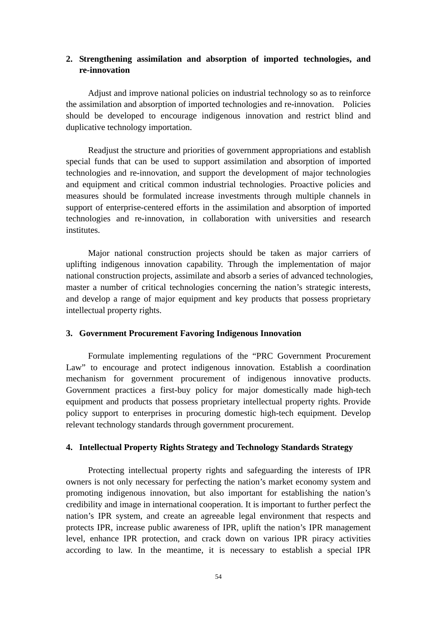# **2. Strengthening assimilation and absorption of imported technologies, and re-innovation**

Adjust and improve national policies on industrial technology so as to reinforce the assimilation and absorption of imported technologies and re-innovation. Policies should be developed to encourage indigenous innovation and restrict blind and duplicative technology importation.

Readjust the structure and priorities of government appropriations and establish special funds that can be used to support assimilation and absorption of imported technologies and re-innovation, and support the development of major technologies and equipment and critical common industrial technologies. Proactive policies and measures should be formulated increase investments through multiple channels in support of enterprise-centered efforts in the assimilation and absorption of imported technologies and re-innovation, in collaboration with universities and research institutes.

Major national construction projects should be taken as major carriers of uplifting indigenous innovation capability. Through the implementation of major national construction projects, assimilate and absorb a series of advanced technologies, master a number of critical technologies concerning the nation's strategic interests, and develop a range of major equipment and key products that possess proprietary intellectual property rights.

## **3. Government Procurement Favoring Indigenous Innovation**

Formulate implementing regulations of the "PRC Government Procurement Law" to encourage and protect indigenous innovation. Establish a coordination mechanism for government procurement of indigenous innovative products. Government practices a first-buy policy for major domestically made high-tech equipment and products that possess proprietary intellectual property rights. Provide policy support to enterprises in procuring domestic high-tech equipment. Develop relevant technology standards through government procurement.

## **4. Intellectual Property Rights Strategy and Technology Standards Strategy**

Protecting intellectual property rights and safeguarding the interests of IPR owners is not only necessary for perfecting the nation's market economy system and promoting indigenous innovation, but also important for establishing the nation's credibility and image in international cooperation. It is important to further perfect the nation's IPR system, and create an agreeable legal environment that respects and protects IPR, increase public awareness of IPR, uplift the nation's IPR management level, enhance IPR protection, and crack down on various IPR piracy activities according to law. In the meantime, it is necessary to establish a special IPR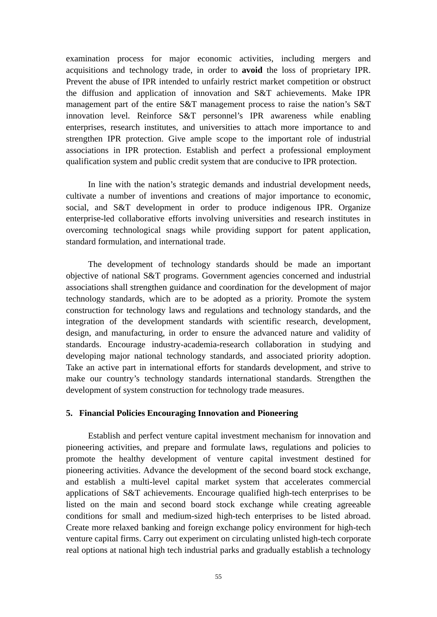examination process for major economic activities, including mergers and acquisitions and technology trade, in order to **avoid** the loss of proprietary IPR. Prevent the abuse of IPR intended to unfairly restrict market competition or obstruct the diffusion and application of innovation and S&T achievements. Make IPR management part of the entire S&T management process to raise the nation's S&T innovation level. Reinforce S&T personnel's IPR awareness while enabling enterprises, research institutes, and universities to attach more importance to and strengthen IPR protection. Give ample scope to the important role of industrial associations in IPR protection. Establish and perfect a professional employment qualification system and public credit system that are conducive to IPR protection.

In line with the nation's strategic demands and industrial development needs, cultivate a number of inventions and creations of major importance to economic, social, and S&T development in order to produce indigenous IPR. Organize enterprise-led collaborative efforts involving universities and research institutes in overcoming technological snags while providing support for patent application, standard formulation, and international trade.

The development of technology standards should be made an important objective of national S&T programs. Government agencies concerned and industrial associations shall strengthen guidance and coordination for the development of major technology standards, which are to be adopted as a priority. Promote the system construction for technology laws and regulations and technology standards, and the integration of the development standards with scientific research, development, design, and manufacturing, in order to ensure the advanced nature and validity of standards. Encourage industry-academia-research collaboration in studying and developing major national technology standards, and associated priority adoption. Take an active part in international efforts for standards development, and strive to make our country's technology standards international standards. Strengthen the development of system construction for technology trade measures.

## **5. Financial Policies Encouraging Innovation and Pioneering**

Establish and perfect venture capital investment mechanism for innovation and pioneering activities, and prepare and formulate laws, regulations and policies to promote the healthy development of venture capital investment destined for pioneering activities. Advance the development of the second board stock exchange, and establish a multi-level capital market system that accelerates commercial applications of S&T achievements. Encourage qualified high-tech enterprises to be listed on the main and second board stock exchange while creating agreeable conditions for small and medium-sized high-tech enterprises to be listed abroad. Create more relaxed banking and foreign exchange policy environment for high-tech venture capital firms. Carry out experiment on circulating unlisted high-tech corporate real options at national high tech industrial parks and gradually establish a technology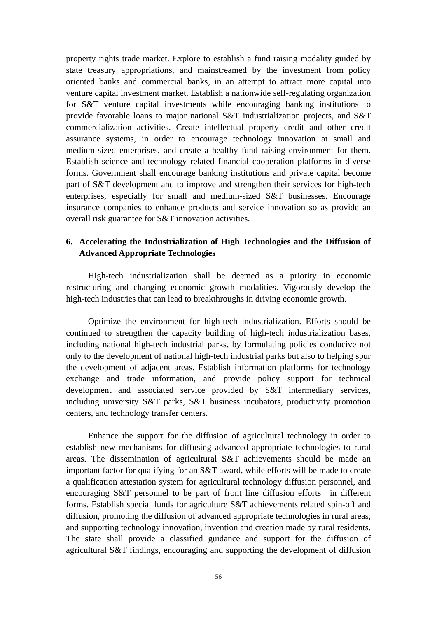property rights trade market. Explore to establish a fund raising modality guided by state treasury appropriations, and mainstreamed by the investment from policy oriented banks and commercial banks, in an attempt to attract more capital into venture capital investment market. Establish a nationwide self-regulating organization for S&T venture capital investments while encouraging banking institutions to provide favorable loans to major national S&T industrialization projects, and S&T commercialization activities. Create intellectual property credit and other credit assurance systems, in order to encourage technology innovation at small and medium-sized enterprises, and create a healthy fund raising environment for them. Establish science and technology related financial cooperation platforms in diverse forms. Government shall encourage banking institutions and private capital become part of S&T development and to improve and strengthen their services for high-tech enterprises, especially for small and medium-sized S&T businesses. Encourage insurance companies to enhance products and service innovation so as provide an overall risk guarantee for S&T innovation activities.

# **6. Accelerating the Industrialization of High Technologies and the Diffusion of Advanced Appropriate Technologies**

High-tech industrialization shall be deemed as a priority in economic restructuring and changing economic growth modalities. Vigorously develop the high-tech industries that can lead to breakthroughs in driving economic growth.

Optimize the environment for high-tech industrialization. Efforts should be continued to strengthen the capacity building of high-tech industrialization bases, including national high-tech industrial parks, by formulating policies conducive not only to the development of national high-tech industrial parks but also to helping spur the development of adjacent areas. Establish information platforms for technology exchange and trade information, and provide policy support for technical development and associated service provided by S&T intermediary services, including university S&T parks, S&T business incubators, productivity promotion centers, and technology transfer centers.

Enhance the support for the diffusion of agricultural technology in order to establish new mechanisms for diffusing advanced appropriate technologies to rural areas. The dissemination of agricultural S&T achievements should be made an important factor for qualifying for an S&T award, while efforts will be made to create a qualification attestation system for agricultural technology diffusion personnel, and encouraging S&T personnel to be part of front line diffusion efforts in different forms. Establish special funds for agriculture S&T achievements related spin-off and diffusion, promoting the diffusion of advanced appropriate technologies in rural areas, and supporting technology innovation, invention and creation made by rural residents. The state shall provide a classified guidance and support for the diffusion of agricultural S&T findings, encouraging and supporting the development of diffusion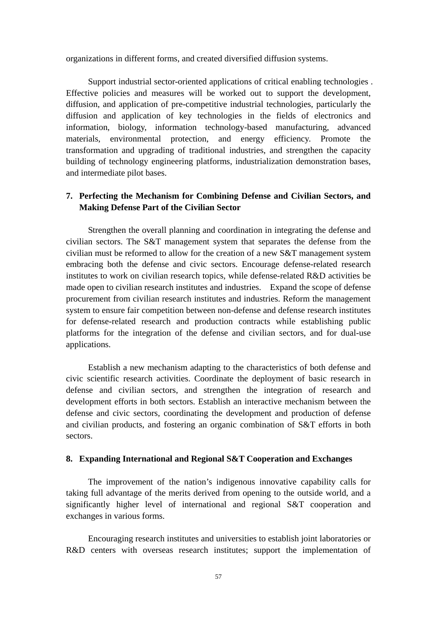organizations in different forms, and created diversified diffusion systems.

Support industrial sector-oriented applications of critical enabling technologies . Effective policies and measures will be worked out to support the development, diffusion, and application of pre-competitive industrial technologies, particularly the diffusion and application of key technologies in the fields of electronics and information, biology, information technology-based manufacturing, advanced materials, environmental protection, and energy efficiency. Promote the transformation and upgrading of traditional industries, and strengthen the capacity building of technology engineering platforms, industrialization demonstration bases, and intermediate pilot bases.

# **7. Perfecting the Mechanism for Combining Defense and Civilian Sectors, and Making Defense Part of the Civilian Sector**

Strengthen the overall planning and coordination in integrating the defense and civilian sectors. The S&T management system that separates the defense from the civilian must be reformed to allow for the creation of a new S&T management system embracing both the defense and civic sectors. Encourage defense-related research institutes to work on civilian research topics, while defense-related R&D activities be made open to civilian research institutes and industries. Expand the scope of defense procurement from civilian research institutes and industries. Reform the management system to ensure fair competition between non-defense and defense research institutes for defense-related research and production contracts while establishing public platforms for the integration of the defense and civilian sectors, and for dual-use applications.

Establish a new mechanism adapting to the characteristics of both defense and civic scientific research activities. Coordinate the deployment of basic research in defense and civilian sectors, and strengthen the integration of research and development efforts in both sectors. Establish an interactive mechanism between the defense and civic sectors, coordinating the development and production of defense and civilian products, and fostering an organic combination of S&T efforts in both sectors.

## **8. Expanding International and Regional S&T Cooperation and Exchanges**

The improvement of the nation's indigenous innovative capability calls for taking full advantage of the merits derived from opening to the outside world, and a significantly higher level of international and regional S&T cooperation and exchanges in various forms.

Encouraging research institutes and universities to establish joint laboratories or R&D centers with overseas research institutes; support the implementation of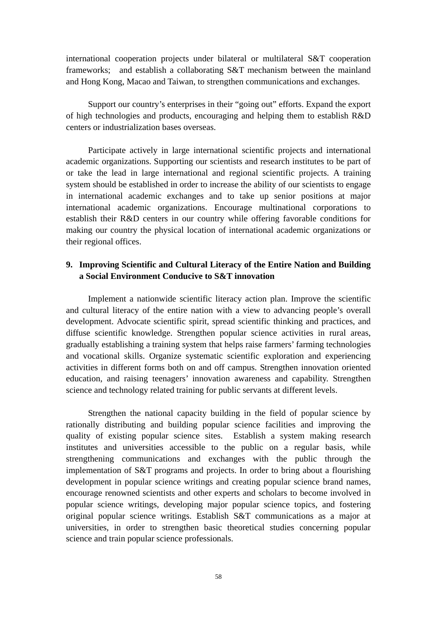international cooperation projects under bilateral or multilateral S&T cooperation frameworks; and establish a collaborating S&T mechanism between the mainland and Hong Kong, Macao and Taiwan, to strengthen communications and exchanges.

Support our country's enterprises in their "going out" efforts. Expand the export of high technologies and products, encouraging and helping them to establish R&D centers or industrialization bases overseas.

Participate actively in large international scientific projects and international academic organizations. Supporting our scientists and research institutes to be part of or take the lead in large international and regional scientific projects. A training system should be established in order to increase the ability of our scientists to engage in international academic exchanges and to take up senior positions at major international academic organizations. Encourage multinational corporations to establish their R&D centers in our country while offering favorable conditions for making our country the physical location of international academic organizations or their regional offices.

# **9. Improving Scientific and Cultural Literacy of the Entire Nation and Building a Social Environment Conducive to S&T innovation**

Implement a nationwide scientific literacy action plan. Improve the scientific and cultural literacy of the entire nation with a view to advancing people's overall development. Advocate scientific spirit, spread scientific thinking and practices, and diffuse scientific knowledge. Strengthen popular science activities in rural areas, gradually establishing a training system that helps raise farmers' farming technologies and vocational skills. Organize systematic scientific exploration and experiencing activities in different forms both on and off campus. Strengthen innovation oriented education, and raising teenagers' innovation awareness and capability. Strengthen science and technology related training for public servants at different levels.

Strengthen the national capacity building in the field of popular science by rationally distributing and building popular science facilities and improving the quality of existing popular science sites. Establish a system making research institutes and universities accessible to the public on a regular basis, while strengthening communications and exchanges with the public through the implementation of S&T programs and projects. In order to bring about a flourishing development in popular science writings and creating popular science brand names, encourage renowned scientists and other experts and scholars to become involved in popular science writings, developing major popular science topics, and fostering original popular science writings. Establish S&T communications as a major at universities, in order to strengthen basic theoretical studies concerning popular science and train popular science professionals.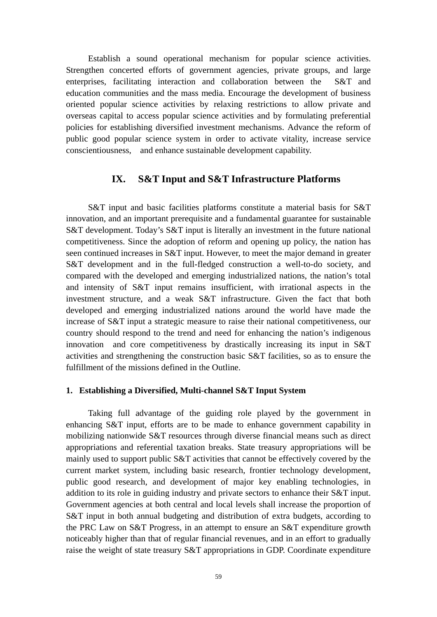Establish a sound operational mechanism for popular science activities. Strengthen concerted efforts of government agencies, private groups, and large enterprises, facilitating interaction and collaboration between the S&T and education communities and the mass media. Encourage the development of business oriented popular science activities by relaxing restrictions to allow private and overseas capital to access popular science activities and by formulating preferential policies for establishing diversified investment mechanisms. Advance the reform of public good popular science system in order to activate vitality, increase service conscientiousness, and enhance sustainable development capability.

# **IX. S&T Input and S&T Infrastructure Platforms**

S&T input and basic facilities platforms constitute a material basis for S&T innovation, and an important prerequisite and a fundamental guarantee for sustainable S&T development. Today's S&T input is literally an investment in the future national competitiveness. Since the adoption of reform and opening up policy, the nation has seen continued increases in S&T input. However, to meet the major demand in greater S&T development and in the full-fledged construction a well-to-do society, and compared with the developed and emerging industrialized nations, the nation's total and intensity of S&T input remains insufficient, with irrational aspects in the investment structure, and a weak S&T infrastructure. Given the fact that both developed and emerging industrialized nations around the world have made the increase of S&T input a strategic measure to raise their national competitiveness, our country should respond to the trend and need for enhancing the nation's indigenous innovation and core competitiveness by drastically increasing its input in S&T activities and strengthening the construction basic S&T facilities, so as to ensure the fulfillment of the missions defined in the Outline.

## **1. Establishing a Diversified, Multi-channel S&T Input System**

Taking full advantage of the guiding role played by the government in enhancing S&T input, efforts are to be made to enhance government capability in mobilizing nationwide S&T resources through diverse financial means such as direct appropriations and referential taxation breaks. State treasury appropriations will be mainly used to support public S&T activities that cannot be effectively covered by the current market system, including basic research, frontier technology development, public good research, and development of major key enabling technologies, in addition to its role in guiding industry and private sectors to enhance their S&T input. Government agencies at both central and local levels shall increase the proportion of S&T input in both annual budgeting and distribution of extra budgets, according to the PRC Law on S&T Progress, in an attempt to ensure an S&T expenditure growth noticeably higher than that of regular financial revenues, and in an effort to gradually raise the weight of state treasury S&T appropriations in GDP. Coordinate expenditure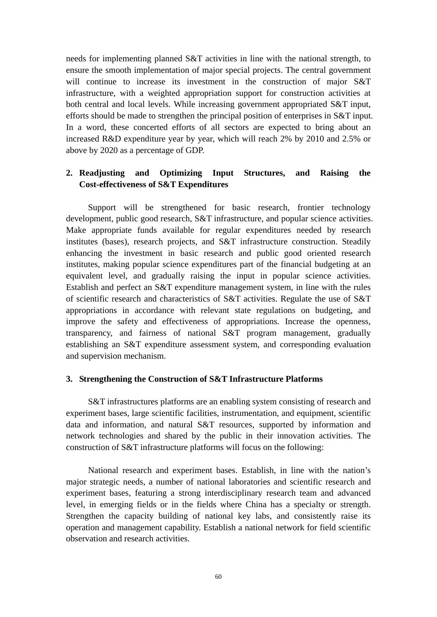needs for implementing planned S&T activities in line with the national strength, to ensure the smooth implementation of major special projects. The central government will continue to increase its investment in the construction of major S&T infrastructure, with a weighted appropriation support for construction activities at both central and local levels. While increasing government appropriated S&T input, efforts should be made to strengthen the principal position of enterprises in S&T input. In a word, these concerted efforts of all sectors are expected to bring about an increased R&D expenditure year by year, which will reach 2% by 2010 and 2.5% or above by 2020 as a percentage of GDP.

# **2. Readjusting and Optimizing Input Structures, and Raising the Cost-effectiveness of S&T Expenditures**

Support will be strengthened for basic research, frontier technology development, public good research, S&T infrastructure, and popular science activities. Make appropriate funds available for regular expenditures needed by research institutes (bases), research projects, and S&T infrastructure construction. Steadily enhancing the investment in basic research and public good oriented research institutes, making popular science expenditures part of the financial budgeting at an equivalent level, and gradually raising the input in popular science activities. Establish and perfect an S&T expenditure management system, in line with the rules of scientific research and characteristics of S&T activities. Regulate the use of S&T appropriations in accordance with relevant state regulations on budgeting, and improve the safety and effectiveness of appropriations. Increase the openness, transparency, and fairness of national S&T program management, gradually establishing an S&T expenditure assessment system, and corresponding evaluation and supervision mechanism.

## **3. Strengthening the Construction of S&T Infrastructure Platforms**

S&T infrastructures platforms are an enabling system consisting of research and experiment bases, large scientific facilities, instrumentation, and equipment, scientific data and information, and natural S&T resources, supported by information and network technologies and shared by the public in their innovation activities. The construction of S&T infrastructure platforms will focus on the following:

National research and experiment bases. Establish, in line with the nation's major strategic needs, a number of national laboratories and scientific research and experiment bases, featuring a strong interdisciplinary research team and advanced level, in emerging fields or in the fields where China has a specialty or strength. Strengthen the capacity building of national key labs, and consistently raise its operation and management capability. Establish a national network for field scientific observation and research activities.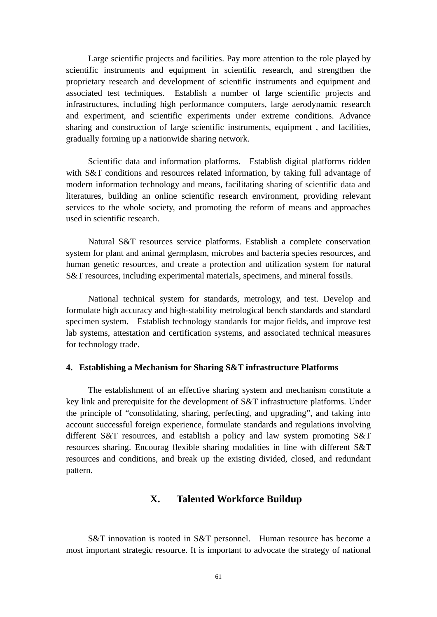Large scientific projects and facilities. Pay more attention to the role played by scientific instruments and equipment in scientific research, and strengthen the proprietary research and development of scientific instruments and equipment and associated test techniques. Establish a number of large scientific projects and infrastructures, including high performance computers, large aerodynamic research and experiment, and scientific experiments under extreme conditions. Advance sharing and construction of large scientific instruments, equipment , and facilities, gradually forming up a nationwide sharing network.

Scientific data and information platforms. Establish digital platforms ridden with S&T conditions and resources related information, by taking full advantage of modern information technology and means, facilitating sharing of scientific data and literatures, building an online scientific research environment, providing relevant services to the whole society, and promoting the reform of means and approaches used in scientific research.

Natural S&T resources service platforms. Establish a complete conservation system for plant and animal germplasm, microbes and bacteria species resources, and human genetic resources, and create a protection and utilization system for natural S&T resources, including experimental materials, specimens, and mineral fossils.

National technical system for standards, metrology, and test. Develop and formulate high accuracy and high-stability metrological bench standards and standard specimen system. Establish technology standards for major fields, and improve test lab systems, attestation and certification systems, and associated technical measures for technology trade.

#### **4. Establishing a Mechanism for Sharing S&T infrastructure Platforms**

The establishment of an effective sharing system and mechanism constitute a key link and prerequisite for the development of S&T infrastructure platforms. Under the principle of "consolidating, sharing, perfecting, and upgrading", and taking into account successful foreign experience, formulate standards and regulations involving different S&T resources, and establish a policy and law system promoting S&T resources sharing. Encourag flexible sharing modalities in line with different S&T resources and conditions, and break up the existing divided, closed, and redundant pattern.

## **X. Talented Workforce Buildup**

S&T innovation is rooted in S&T personnel. Human resource has become a most important strategic resource. It is important to advocate the strategy of national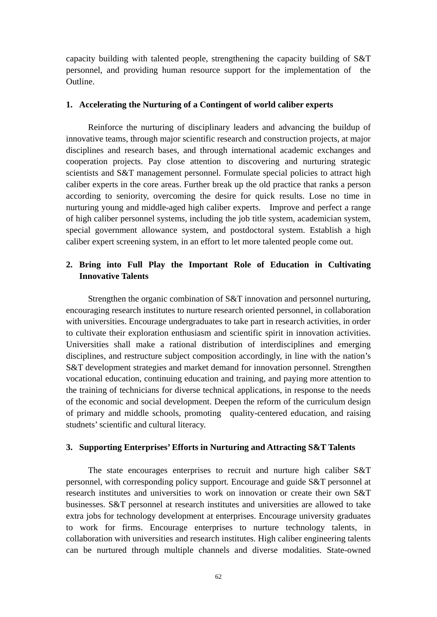capacity building with talented people, strengthening the capacity building of S&T personnel, and providing human resource support for the implementation of the Outline.

## **1. Accelerating the Nurturing of a Contingent of world caliber experts**

Reinforce the nurturing of disciplinary leaders and advancing the buildup of innovative teams, through major scientific research and construction projects, at major disciplines and research bases, and through international academic exchanges and cooperation projects. Pay close attention to discovering and nurturing strategic scientists and S&T management personnel. Formulate special policies to attract high caliber experts in the core areas. Further break up the old practice that ranks a person according to seniority, overcoming the desire for quick results. Lose no time in nurturing young and middle-aged high caliber experts. Improve and perfect a range of high caliber personnel systems, including the job title system, academician system, special government allowance system, and postdoctoral system. Establish a high caliber expert screening system, in an effort to let more talented people come out.

# **2. Bring into Full Play the Important Role of Education in Cultivating Innovative Talents**

Strengthen the organic combination of S&T innovation and personnel nurturing, encouraging research institutes to nurture research oriented personnel, in collaboration with universities. Encourage undergraduates to take part in research activities, in order to cultivate their exploration enthusiasm and scientific spirit in innovation activities. Universities shall make a rational distribution of interdisciplines and emerging disciplines, and restructure subject composition accordingly, in line with the nation's S&T development strategies and market demand for innovation personnel. Strengthen vocational education, continuing education and training, and paying more attention to the training of technicians for diverse technical applications, in response to the needs of the economic and social development. Deepen the reform of the curriculum design of primary and middle schools, promoting quality-centered education, and raising studnets' scientific and cultural literacy.

## **3. Supporting Enterprises' Efforts in Nurturing and Attracting S&T Talents**

The state encourages enterprises to recruit and nurture high caliber S&T personnel, with corresponding policy support. Encourage and guide S&T personnel at research institutes and universities to work on innovation or create their own S&T businesses. S&T personnel at research institutes and universities are allowed to take extra jobs for technology development at enterprises. Encourage university graduates to work for firms. Encourage enterprises to nurture technology talents, in collaboration with universities and research institutes. High caliber engineering talents can be nurtured through multiple channels and diverse modalities. State-owned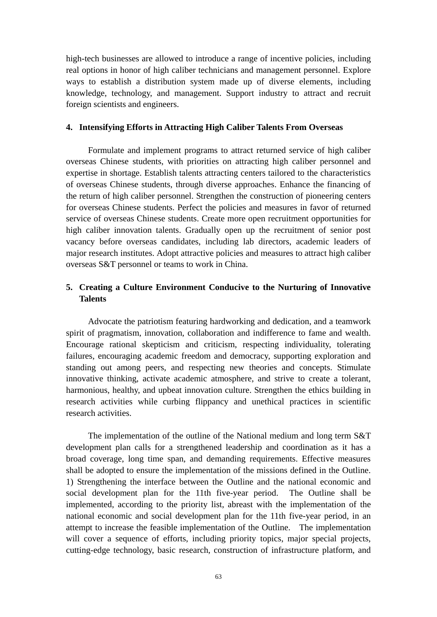high-tech businesses are allowed to introduce a range of incentive policies, including real options in honor of high caliber technicians and management personnel. Explore ways to establish a distribution system made up of diverse elements, including knowledge, technology, and management. Support industry to attract and recruit foreign scientists and engineers.

## **4. Intensifying Efforts in Attracting High Caliber Talents From Overseas**

Formulate and implement programs to attract returned service of high caliber overseas Chinese students, with priorities on attracting high caliber personnel and expertise in shortage. Establish talents attracting centers tailored to the characteristics of overseas Chinese students, through diverse approaches. Enhance the financing of the return of high caliber personnel. Strengthen the construction of pioneering centers for overseas Chinese students. Perfect the policies and measures in favor of returned service of overseas Chinese students. Create more open recruitment opportunities for high caliber innovation talents. Gradually open up the recruitment of senior post vacancy before overseas candidates, including lab directors, academic leaders of major research institutes. Adopt attractive policies and measures to attract high caliber overseas S&T personnel or teams to work in China.

# **5. Creating a Culture Environment Conducive to the Nurturing of Innovative Talents**

Advocate the patriotism featuring hardworking and dedication, and a teamwork spirit of pragmatism, innovation, collaboration and indifference to fame and wealth. Encourage rational skepticism and criticism, respecting individuality, tolerating failures, encouraging academic freedom and democracy, supporting exploration and standing out among peers, and respecting new theories and concepts. Stimulate innovative thinking, activate academic atmosphere, and strive to create a tolerant, harmonious, healthy, and upbeat innovation culture. Strengthen the ethics building in research activities while curbing flippancy and unethical practices in scientific research activities.

The implementation of the outline of the National medium and long term S&T development plan calls for a strengthened leadership and coordination as it has a broad coverage, long time span, and demanding requirements. Effective measures shall be adopted to ensure the implementation of the missions defined in the Outline. 1) Strengthening the interface between the Outline and the national economic and social development plan for the 11th five-year period. The Outline shall be implemented, according to the priority list, abreast with the implementation of the national economic and social development plan for the 11th five-year period, in an attempt to increase the feasible implementation of the Outline. The implementation will cover a sequence of efforts, including priority topics, major special projects, cutting-edge technology, basic research, construction of infrastructure platform, and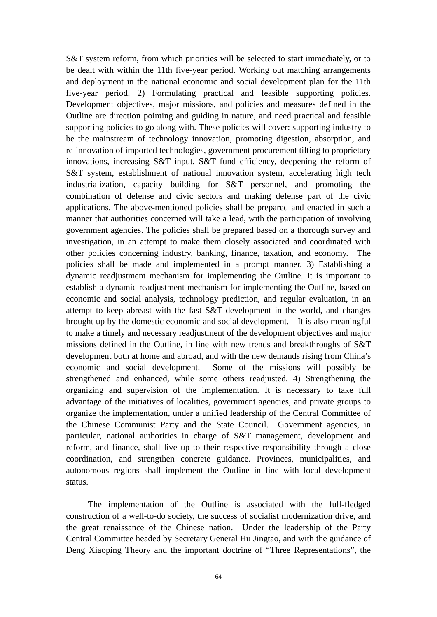S&T system reform, from which priorities will be selected to start immediately, or to be dealt with within the 11th five-year period. Working out matching arrangements and deployment in the national economic and social development plan for the 11th five-year period. 2) Formulating practical and feasible supporting policies. Development objectives, major missions, and policies and measures defined in the Outline are direction pointing and guiding in nature, and need practical and feasible supporting policies to go along with. These policies will cover: supporting industry to be the mainstream of technology innovation, promoting digestion, absorption, and re-innovation of imported technologies, government procurement tilting to proprietary innovations, increasing S&T input, S&T fund efficiency, deepening the reform of S&T system, establishment of national innovation system, accelerating high tech industrialization, capacity building for S&T personnel, and promoting the combination of defense and civic sectors and making defense part of the civic applications. The above-mentioned policies shall be prepared and enacted in such a manner that authorities concerned will take a lead, with the participation of involving government agencies. The policies shall be prepared based on a thorough survey and investigation, in an attempt to make them closely associated and coordinated with other policies concerning industry, banking, finance, taxation, and economy. The policies shall be made and implemented in a prompt manner. 3) Establishing a dynamic readjustment mechanism for implementing the Outline. It is important to establish a dynamic readjustment mechanism for implementing the Outline, based on economic and social analysis, technology prediction, and regular evaluation, in an attempt to keep abreast with the fast S&T development in the world, and changes brought up by the domestic economic and social development. It is also meaningful to make a timely and necessary readjustment of the development objectives and major missions defined in the Outline, in line with new trends and breakthroughs of S&T development both at home and abroad, and with the new demands rising from China's economic and social development. Some of the missions will possibly be strengthened and enhanced, while some others readjusted. 4) Strengthening the organizing and supervision of the implementation. It is necessary to take full advantage of the initiatives of localities, government agencies, and private groups to organize the implementation, under a unified leadership of the Central Committee of the Chinese Communist Party and the State Council. Government agencies, in particular, national authorities in charge of S&T management, development and reform, and finance, shall live up to their respective responsibility through a close coordination, and strengthen concrete guidance. Provinces, municipalities, and autonomous regions shall implement the Outline in line with local development status.

The implementation of the Outline is associated with the full-fledged construction of a well-to-do society, the success of socialist modernization drive, and the great renaissance of the Chinese nation. Under the leadership of the Party Central Committee headed by Secretary General Hu Jingtao, and with the guidance of Deng Xiaoping Theory and the important doctrine of "Three Representations", the